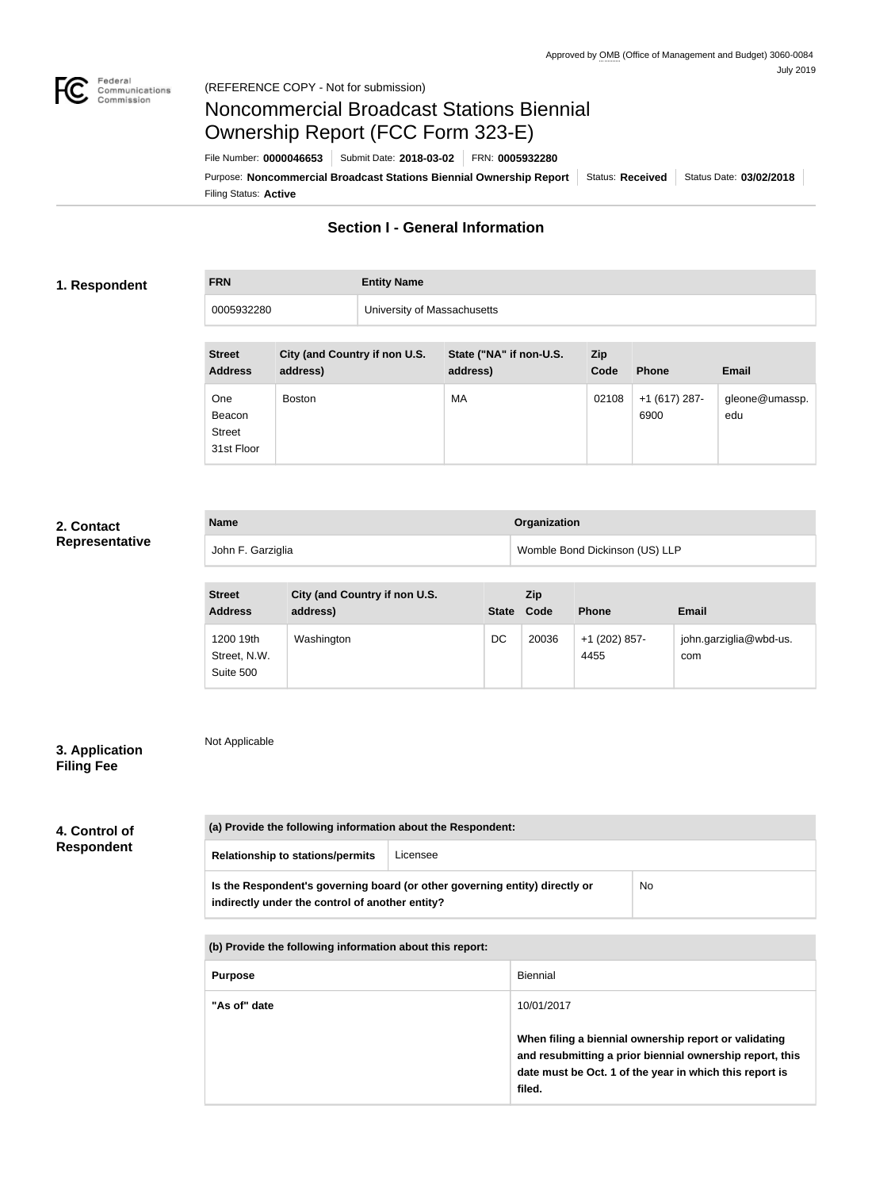

# Noncommercial Broadcast Stations Biennial Ownership Report (FCC Form 323-E)

Filing Status: **Active** Purpose: Noncommercial Broadcast Stations Biennial Ownership Report | Status: Received | Status Date: 03/02/2018 File Number: **0000046653** Submit Date: **2018-03-02** FRN: **0005932280**

## **Section I - General Information**

### **1. Respondent**

# **FRN Entity Name**

0005932280 University of Massachusetts

| <b>Street</b><br><b>Address</b>              | City (and Country if non U.S.<br>address) | State ("NA" if non-U.S.<br>address) | <b>Zip</b><br>Code | <b>Phone</b>          | <b>Email</b>          |
|----------------------------------------------|-------------------------------------------|-------------------------------------|--------------------|-----------------------|-----------------------|
| One<br>Beacon<br><b>Street</b><br>31st Floor | <b>Boston</b>                             | MA                                  | 02108              | +1 (617) 287-<br>6900 | gleone@umassp.<br>edu |

### **2. Contact Representative**

| <b>Name</b>       | Organization                   |
|-------------------|--------------------------------|
| John F. Garziglia | Womble Bond Dickinson (US) LLP |

| <b>Street</b><br><b>Address</b>        | City (and Country if non U.S.<br>address) | <b>State</b> | <b>Zip</b><br>Code | <b>Phone</b>          | <b>Email</b>                  |
|----------------------------------------|-------------------------------------------|--------------|--------------------|-----------------------|-------------------------------|
| 1200 19th<br>Street, N.W.<br>Suite 500 | Washington                                | DC           | 20036              | +1 (202) 857-<br>4455 | john.garziglia@wbd-us.<br>com |

### **3. Application Filing Fee**

Not Applicable

## **4. Control of Respondent**

# **(a) Provide the following information about the Respondent: Relationship to stations/permits** Licensee **Is the Respondent's governing board (or other governing entity) directly or indirectly under the control of another entity?** No **(b) Provide the following information about this report: Purpose** Biennial

| <b>Purpose</b> | Biennial                                                                                                                                                                               |
|----------------|----------------------------------------------------------------------------------------------------------------------------------------------------------------------------------------|
| "As of" date   | 10/01/2017                                                                                                                                                                             |
|                | When filing a biennial ownership report or validating<br>and resubmitting a prior biennial ownership report, this<br>date must be Oct. 1 of the year in which this report is<br>filed. |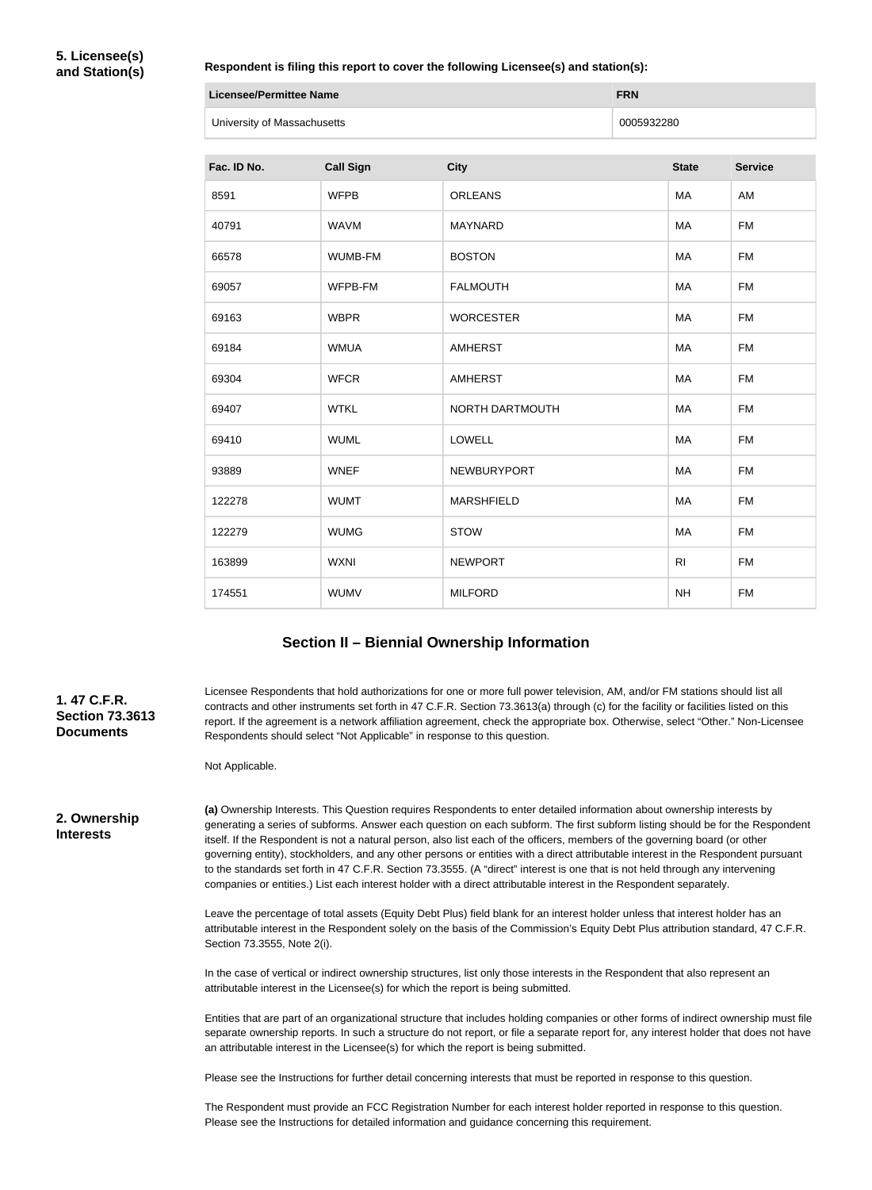### **Respondent is filing this report to cover the following Licensee(s) and station(s):**

| Licensee/Permittee Name     | <b>FRN</b> |
|-----------------------------|------------|
| University of Massachusetts | 0005932280 |

| Fac. ID No. | <b>Call Sign</b> | <b>City</b>       | <b>State</b>   | <b>Service</b> |
|-------------|------------------|-------------------|----------------|----------------|
| 8591        | <b>WFPB</b>      | <b>ORLEANS</b>    | MA             | AM             |
| 40791       | <b>WAVM</b>      | <b>MAYNARD</b>    | MA             | <b>FM</b>      |
| 66578       | WUMB-FM          | <b>BOSTON</b>     | MA             | <b>FM</b>      |
| 69057       | WFPB-FM          | <b>FALMOUTH</b>   | MA             | <b>FM</b>      |
| 69163       | <b>WBPR</b>      | <b>WORCESTER</b>  | MA             | <b>FM</b>      |
| 69184       | <b>WMUA</b>      | <b>AMHERST</b>    | MA             | <b>FM</b>      |
| 69304       | <b>WFCR</b>      | <b>AMHERST</b>    | MA             | <b>FM</b>      |
| 69407       | <b>WTKL</b>      | NORTH DARTMOUTH   | MA             | <b>FM</b>      |
| 69410       | <b>WUML</b>      | <b>LOWELL</b>     | MA             | <b>FM</b>      |
| 93889       | <b>WNEF</b>      | NEWBURYPORT       | MA             | <b>FM</b>      |
| 122278      | <b>WUMT</b>      | <b>MARSHFIELD</b> | MA             | <b>FM</b>      |
| 122279      | <b>WUMG</b>      | <b>STOW</b>       | MA             | <b>FM</b>      |
| 163899      | <b>WXNI</b>      | <b>NEWPORT</b>    | R <sub>l</sub> | <b>FM</b>      |
| 174551      | <b>WUMV</b>      | <b>MILFORD</b>    | <b>NH</b>      | <b>FM</b>      |

### **Section II – Biennial Ownership Information**

**1. 47 C.F.R. Section 73.3613 Documents**

Licensee Respondents that hold authorizations for one or more full power television, AM, and/or FM stations should list all contracts and other instruments set forth in 47 C.F.R. Section 73.3613(a) through (c) for the facility or facilities listed on this report. If the agreement is a network affiliation agreement, check the appropriate box. Otherwise, select "Other." Non-Licensee Respondents should select "Not Applicable" in response to this question.

Not Applicable.

**2. Ownership Interests**

**(a)** Ownership Interests. This Question requires Respondents to enter detailed information about ownership interests by generating a series of subforms. Answer each question on each subform. The first subform listing should be for the Respondent itself. If the Respondent is not a natural person, also list each of the officers, members of the governing board (or other governing entity), stockholders, and any other persons or entities with a direct attributable interest in the Respondent pursuant to the standards set forth in 47 C.F.R. Section 73.3555. (A "direct" interest is one that is not held through any intervening companies or entities.) List each interest holder with a direct attributable interest in the Respondent separately.

Leave the percentage of total assets (Equity Debt Plus) field blank for an interest holder unless that interest holder has an attributable interest in the Respondent solely on the basis of the Commission's Equity Debt Plus attribution standard, 47 C.F.R. Section 73.3555, Note 2(i).

In the case of vertical or indirect ownership structures, list only those interests in the Respondent that also represent an attributable interest in the Licensee(s) for which the report is being submitted.

Entities that are part of an organizational structure that includes holding companies or other forms of indirect ownership must file separate ownership reports. In such a structure do not report, or file a separate report for, any interest holder that does not have an attributable interest in the Licensee(s) for which the report is being submitted.

Please see the Instructions for further detail concerning interests that must be reported in response to this question.

The Respondent must provide an FCC Registration Number for each interest holder reported in response to this question. Please see the Instructions for detailed information and guidance concerning this requirement.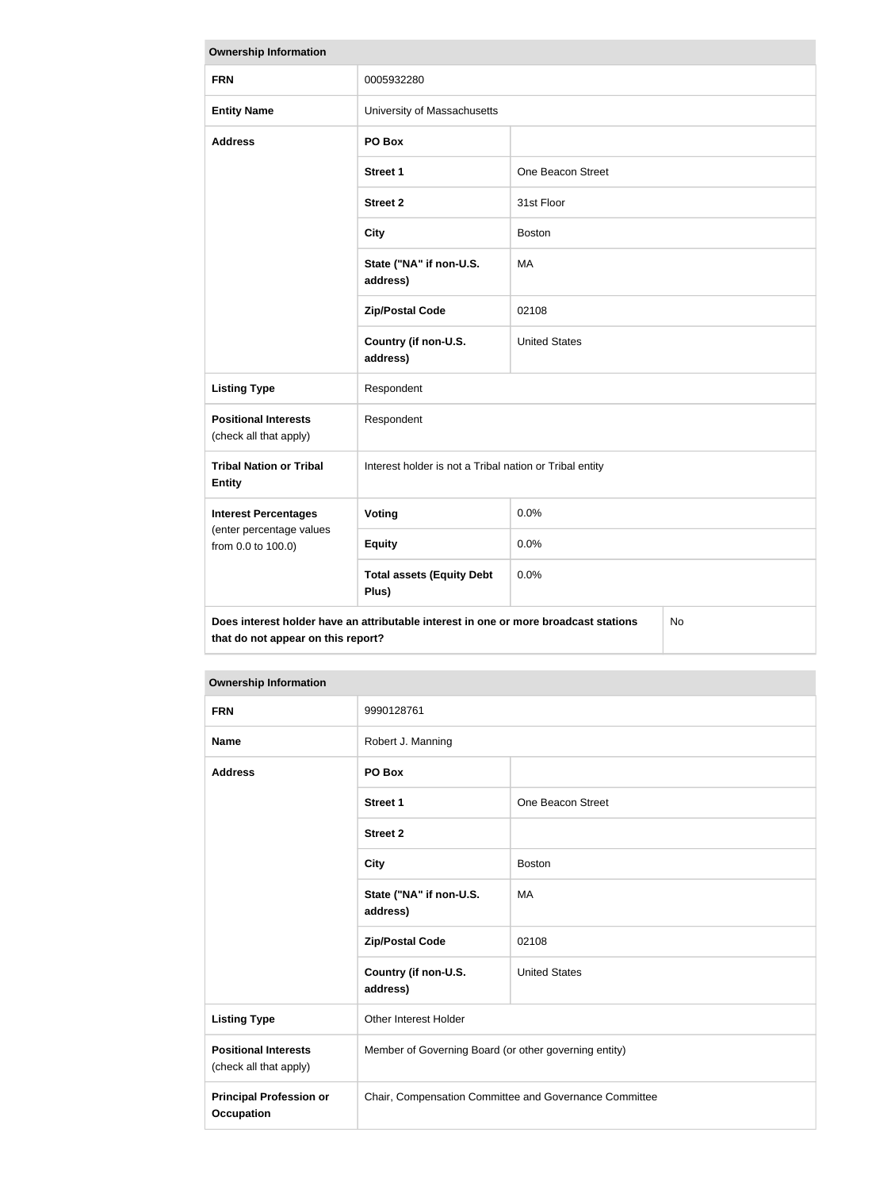| <b>Ownership Information</b>                                                                                                     |                                                         |                      |  |  |
|----------------------------------------------------------------------------------------------------------------------------------|---------------------------------------------------------|----------------------|--|--|
| <b>FRN</b>                                                                                                                       | 0005932280                                              |                      |  |  |
| <b>Entity Name</b>                                                                                                               | University of Massachusetts                             |                      |  |  |
| <b>Address</b>                                                                                                                   | PO Box                                                  |                      |  |  |
|                                                                                                                                  | <b>Street 1</b>                                         | One Beacon Street    |  |  |
|                                                                                                                                  | <b>Street 2</b>                                         | 31st Floor           |  |  |
|                                                                                                                                  | <b>City</b>                                             | <b>Boston</b>        |  |  |
|                                                                                                                                  | State ("NA" if non-U.S.<br>address)                     | MA                   |  |  |
|                                                                                                                                  | <b>Zip/Postal Code</b>                                  | 02108                |  |  |
|                                                                                                                                  | Country (if non-U.S.<br>address)                        | <b>United States</b> |  |  |
| <b>Listing Type</b>                                                                                                              | Respondent                                              |                      |  |  |
| <b>Positional Interests</b><br>(check all that apply)                                                                            | Respondent                                              |                      |  |  |
| <b>Tribal Nation or Tribal</b><br><b>Entity</b>                                                                                  | Interest holder is not a Tribal nation or Tribal entity |                      |  |  |
| <b>Interest Percentages</b>                                                                                                      | Voting                                                  | 0.0%                 |  |  |
| (enter percentage values<br>from 0.0 to 100.0)                                                                                   | <b>Equity</b>                                           | 0.0%                 |  |  |
|                                                                                                                                  | <b>Total assets (Equity Debt</b><br>Plus)               | 0.0%                 |  |  |
| Does interest holder have an attributable interest in one or more broadcast stations<br>No<br>that do not appear on this report? |                                                         |                      |  |  |

| <b>FRN</b>                                            | 9990128761                                             |                      |  |
|-------------------------------------------------------|--------------------------------------------------------|----------------------|--|
| <b>Name</b>                                           | Robert J. Manning                                      |                      |  |
| <b>Address</b>                                        | PO Box                                                 |                      |  |
|                                                       | <b>Street 1</b>                                        | One Beacon Street    |  |
|                                                       | <b>Street 2</b>                                        |                      |  |
|                                                       | <b>City</b>                                            | <b>Boston</b>        |  |
|                                                       | State ("NA" if non-U.S.<br>address)                    | MA                   |  |
|                                                       | <b>Zip/Postal Code</b>                                 | 02108                |  |
|                                                       | Country (if non-U.S.<br>address)                       | <b>United States</b> |  |
| <b>Listing Type</b>                                   | <b>Other Interest Holder</b>                           |                      |  |
| <b>Positional Interests</b><br>(check all that apply) | Member of Governing Board (or other governing entity)  |                      |  |
| <b>Principal Profession or</b><br><b>Occupation</b>   | Chair, Compensation Committee and Governance Committee |                      |  |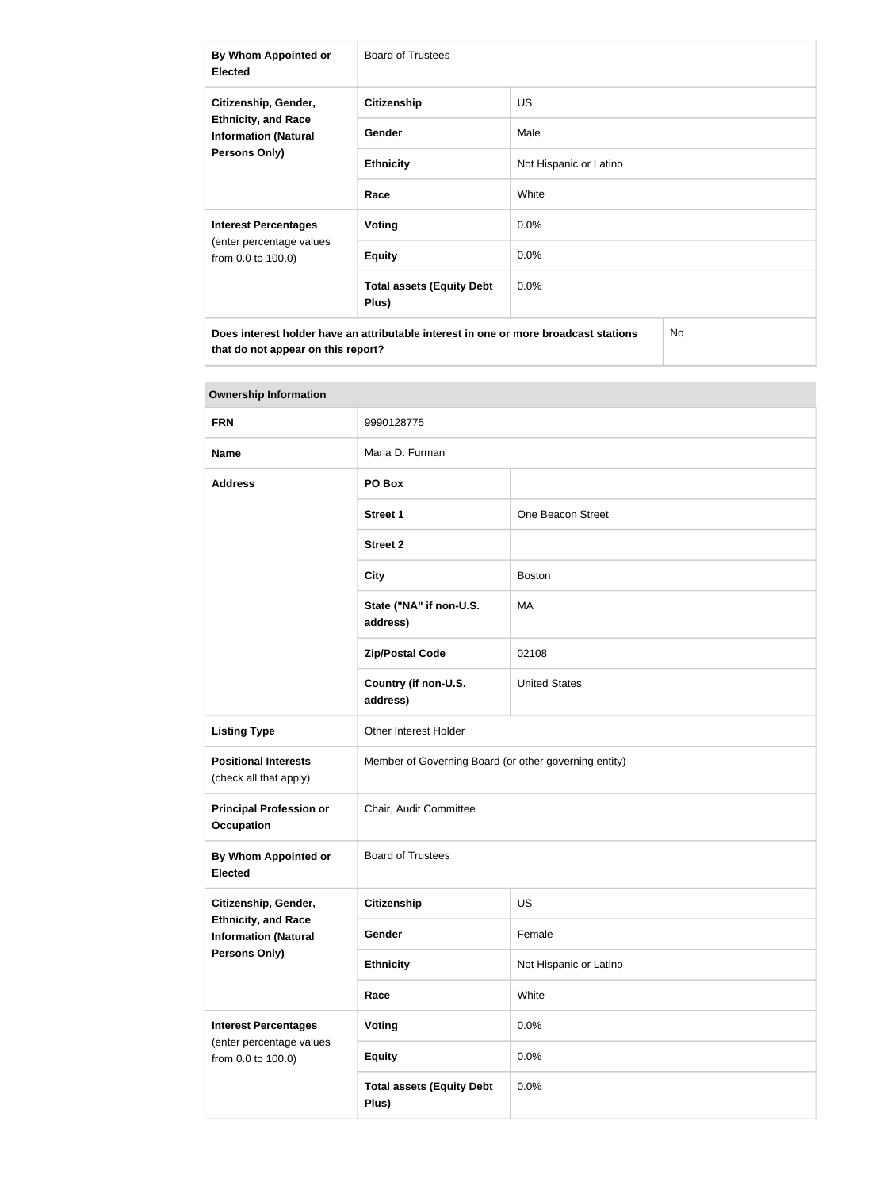| By Whom Appointed or<br><b>Elected</b>                                                     | <b>Board of Trustees</b>                  |                        |  |
|--------------------------------------------------------------------------------------------|-------------------------------------------|------------------------|--|
| Citizenship, Gender,                                                                       | <b>Citizenship</b>                        | <b>US</b>              |  |
| <b>Ethnicity, and Race</b><br><b>Information (Natural</b>                                  | <b>Gender</b>                             | Male                   |  |
| <b>Persons Only)</b>                                                                       | <b>Ethnicity</b>                          | Not Hispanic or Latino |  |
|                                                                                            | Race                                      | White                  |  |
| <b>Interest Percentages</b>                                                                | Voting                                    | $0.0\%$                |  |
| (enter percentage values<br>from 0.0 to 100.0)                                             | <b>Equity</b>                             | 0.0%                   |  |
|                                                                                            | <b>Total assets (Equity Debt</b><br>Plus) | $0.0\%$                |  |
| Does interest holder have an attributable interest in one or more broadcast stations<br>No |                                           |                        |  |

| <b>Ownership Information</b>                              |                                                       |                        |  |
|-----------------------------------------------------------|-------------------------------------------------------|------------------------|--|
| <b>FRN</b>                                                | 9990128775                                            |                        |  |
| <b>Name</b>                                               | Maria D. Furman                                       |                        |  |
| <b>Address</b>                                            | PO Box                                                |                        |  |
|                                                           | <b>Street 1</b>                                       | One Beacon Street      |  |
|                                                           | <b>Street 2</b>                                       |                        |  |
|                                                           | <b>City</b>                                           | <b>Boston</b>          |  |
|                                                           | State ("NA" if non-U.S.<br>address)                   | MA                     |  |
|                                                           | <b>Zip/Postal Code</b>                                | 02108                  |  |
|                                                           | Country (if non-U.S.<br>address)                      | <b>United States</b>   |  |
| <b>Listing Type</b>                                       | Other Interest Holder                                 |                        |  |
| <b>Positional Interests</b><br>(check all that apply)     | Member of Governing Board (or other governing entity) |                        |  |
| <b>Principal Profession or</b><br><b>Occupation</b>       | Chair, Audit Committee                                |                        |  |
| By Whom Appointed or<br><b>Elected</b>                    | <b>Board of Trustees</b>                              |                        |  |
| Citizenship, Gender,                                      | <b>Citizenship</b>                                    | <b>US</b>              |  |
| <b>Ethnicity, and Race</b><br><b>Information (Natural</b> | Gender                                                | Female                 |  |
| Persons Only)                                             | <b>Ethnicity</b>                                      | Not Hispanic or Latino |  |
|                                                           | Race                                                  | White                  |  |
| <b>Interest Percentages</b>                               | <b>Voting</b>                                         | 0.0%                   |  |
| (enter percentage values<br>from 0.0 to 100.0)            | <b>Equity</b>                                         | 0.0%                   |  |
|                                                           | <b>Total assets (Equity Debt</b><br>Plus)             | 0.0%                   |  |

### **The State**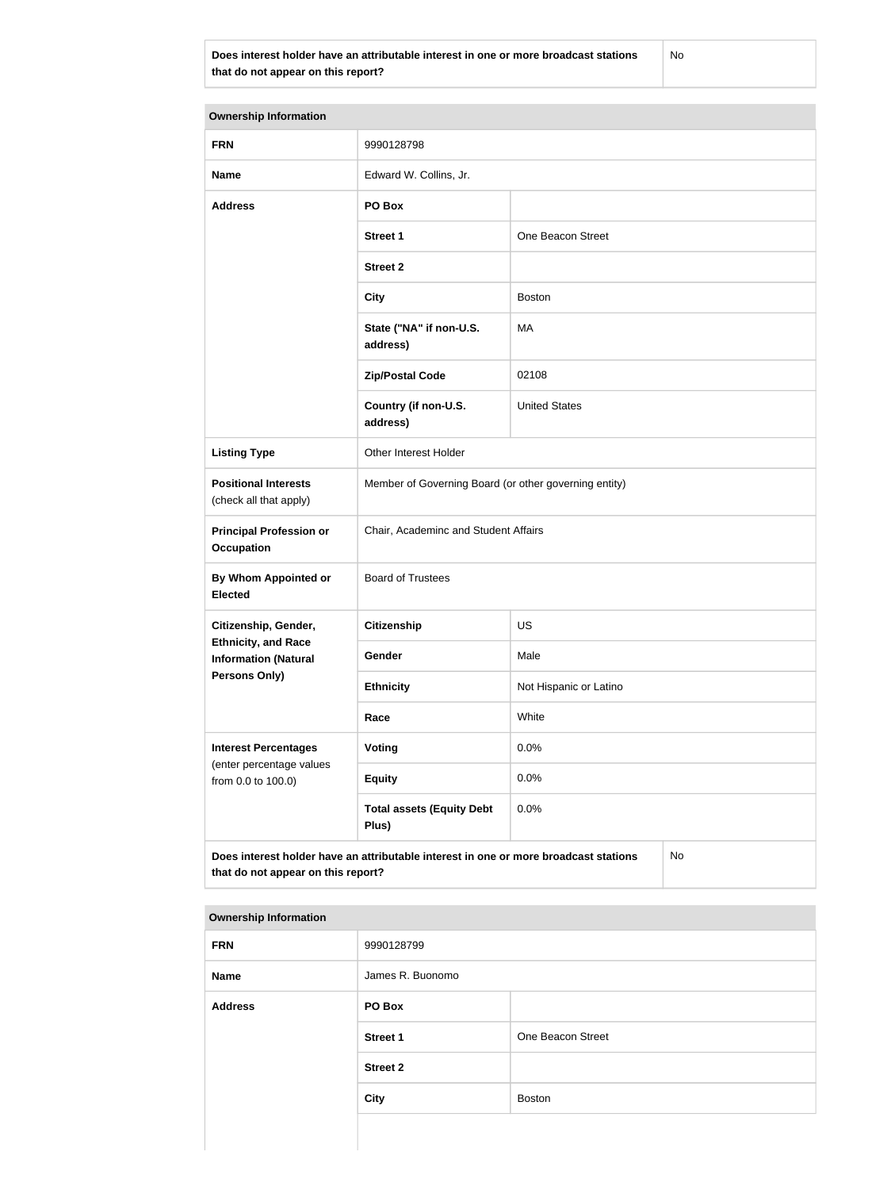**Does interest holder have an attributable interest in one or more broadcast stations that do not appear on this report?**

No

| <b>Ownership Information</b>                                                                                                     |                                                       |                        |  |  |
|----------------------------------------------------------------------------------------------------------------------------------|-------------------------------------------------------|------------------------|--|--|
| <b>FRN</b>                                                                                                                       | 9990128798                                            |                        |  |  |
| <b>Name</b>                                                                                                                      | Edward W. Collins, Jr.                                |                        |  |  |
| <b>Address</b>                                                                                                                   | PO Box                                                |                        |  |  |
|                                                                                                                                  | <b>Street 1</b>                                       | One Beacon Street      |  |  |
|                                                                                                                                  | <b>Street 2</b>                                       |                        |  |  |
|                                                                                                                                  | <b>City</b>                                           | <b>Boston</b>          |  |  |
|                                                                                                                                  | State ("NA" if non-U.S.<br>address)                   | MA                     |  |  |
|                                                                                                                                  | <b>Zip/Postal Code</b>                                | 02108                  |  |  |
|                                                                                                                                  | Country (if non-U.S.<br>address)                      | <b>United States</b>   |  |  |
| <b>Listing Type</b>                                                                                                              | Other Interest Holder                                 |                        |  |  |
| <b>Positional Interests</b><br>(check all that apply)                                                                            | Member of Governing Board (or other governing entity) |                        |  |  |
| <b>Principal Profession or</b><br><b>Occupation</b>                                                                              | Chair, Academinc and Student Affairs                  |                        |  |  |
| By Whom Appointed or<br><b>Elected</b>                                                                                           | <b>Board of Trustees</b>                              |                        |  |  |
| Citizenship, Gender,                                                                                                             | <b>Citizenship</b>                                    | US                     |  |  |
| <b>Ethnicity, and Race</b><br><b>Information (Natural</b>                                                                        | Gender                                                | Male                   |  |  |
| <b>Persons Only)</b>                                                                                                             | <b>Ethnicity</b>                                      | Not Hispanic or Latino |  |  |
|                                                                                                                                  | Race                                                  | White                  |  |  |
| <b>Interest Percentages</b><br>(enter percentage values                                                                          | <b>Voting</b>                                         | 0.0%                   |  |  |
| from 0.0 to 100.0)                                                                                                               | <b>Equity</b>                                         | 0.0%                   |  |  |
|                                                                                                                                  | <b>Total assets (Equity Debt</b><br>Plus)             | 0.0%                   |  |  |
| Does interest holder have an attributable interest in one or more broadcast stations<br>No<br>that do not appear on this report? |                                                       |                        |  |  |

| <b>FRN</b>     | 9990128799       |                   |
|----------------|------------------|-------------------|
| <b>Name</b>    | James R. Buonomo |                   |
| <b>Address</b> | PO Box           |                   |
|                | <b>Street 1</b>  | One Beacon Street |
|                | <b>Street 2</b>  |                   |
|                | City             | <b>Boston</b>     |
|                |                  |                   |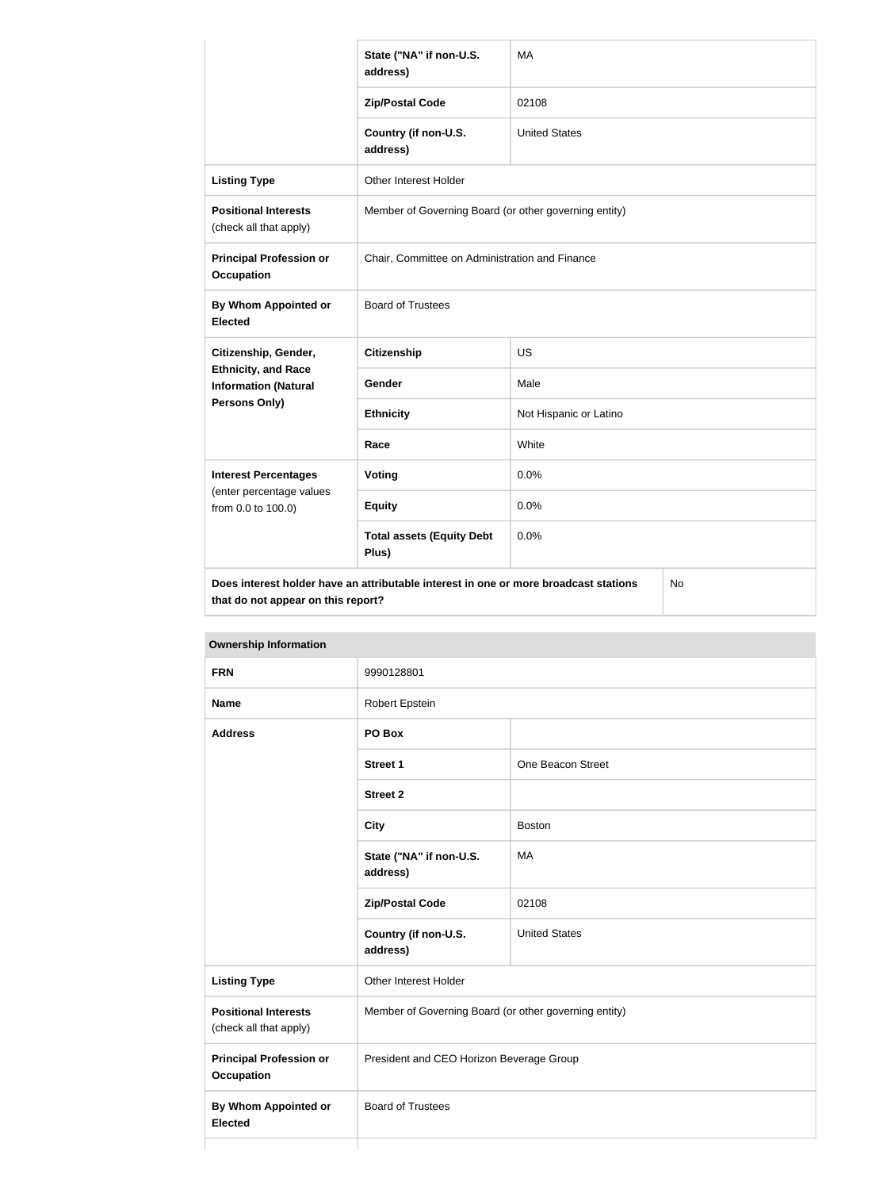|                                                           | State ("NA" if non-U.S.<br>address)                                                  | MA                     |           |
|-----------------------------------------------------------|--------------------------------------------------------------------------------------|------------------------|-----------|
|                                                           | <b>Zip/Postal Code</b>                                                               | 02108                  |           |
|                                                           | Country (if non-U.S.<br>address)                                                     | <b>United States</b>   |           |
| <b>Listing Type</b>                                       | <b>Other Interest Holder</b>                                                         |                        |           |
| <b>Positional Interests</b><br>(check all that apply)     | Member of Governing Board (or other governing entity)                                |                        |           |
| <b>Principal Profession or</b><br><b>Occupation</b>       | Chair, Committee on Administration and Finance                                       |                        |           |
| By Whom Appointed or<br><b>Elected</b>                    | <b>Board of Trustees</b>                                                             |                        |           |
| Citizenship, Gender,                                      | <b>Citizenship</b>                                                                   | <b>US</b>              |           |
| <b>Ethnicity, and Race</b><br><b>Information (Natural</b> | Gender                                                                               | Male                   |           |
| Persons Only)                                             | <b>Ethnicity</b>                                                                     | Not Hispanic or Latino |           |
|                                                           | Race                                                                                 | White                  |           |
| <b>Interest Percentages</b>                               | <b>Voting</b>                                                                        | 0.0%                   |           |
| (enter percentage values<br>from 0.0 to 100.0)            | <b>Equity</b>                                                                        | 0.0%                   |           |
|                                                           | <b>Total assets (Equity Debt</b><br>Plus)                                            | 0.0%                   |           |
| that do not appear on this report?                        | Does interest holder have an attributable interest in one or more broadcast stations |                        | <b>No</b> |

| <b>FRN</b>                                            | 9990128801                                            |                      |
|-------------------------------------------------------|-------------------------------------------------------|----------------------|
| <b>Name</b>                                           | <b>Robert Epstein</b>                                 |                      |
| <b>Address</b>                                        | PO Box                                                |                      |
|                                                       | Street 1                                              | One Beacon Street    |
|                                                       | <b>Street 2</b>                                       |                      |
|                                                       | <b>City</b>                                           | <b>Boston</b>        |
|                                                       | State ("NA" if non-U.S.<br>address)                   | MA                   |
|                                                       | <b>Zip/Postal Code</b>                                | 02108                |
|                                                       | Country (if non-U.S.<br>address)                      | <b>United States</b> |
| <b>Listing Type</b>                                   | Other Interest Holder                                 |                      |
| <b>Positional Interests</b><br>(check all that apply) | Member of Governing Board (or other governing entity) |                      |
| <b>Principal Profession or</b><br><b>Occupation</b>   | President and CEO Horizon Beverage Group              |                      |
| <b>By Whom Appointed or</b><br><b>Elected</b>         | <b>Board of Trustees</b>                              |                      |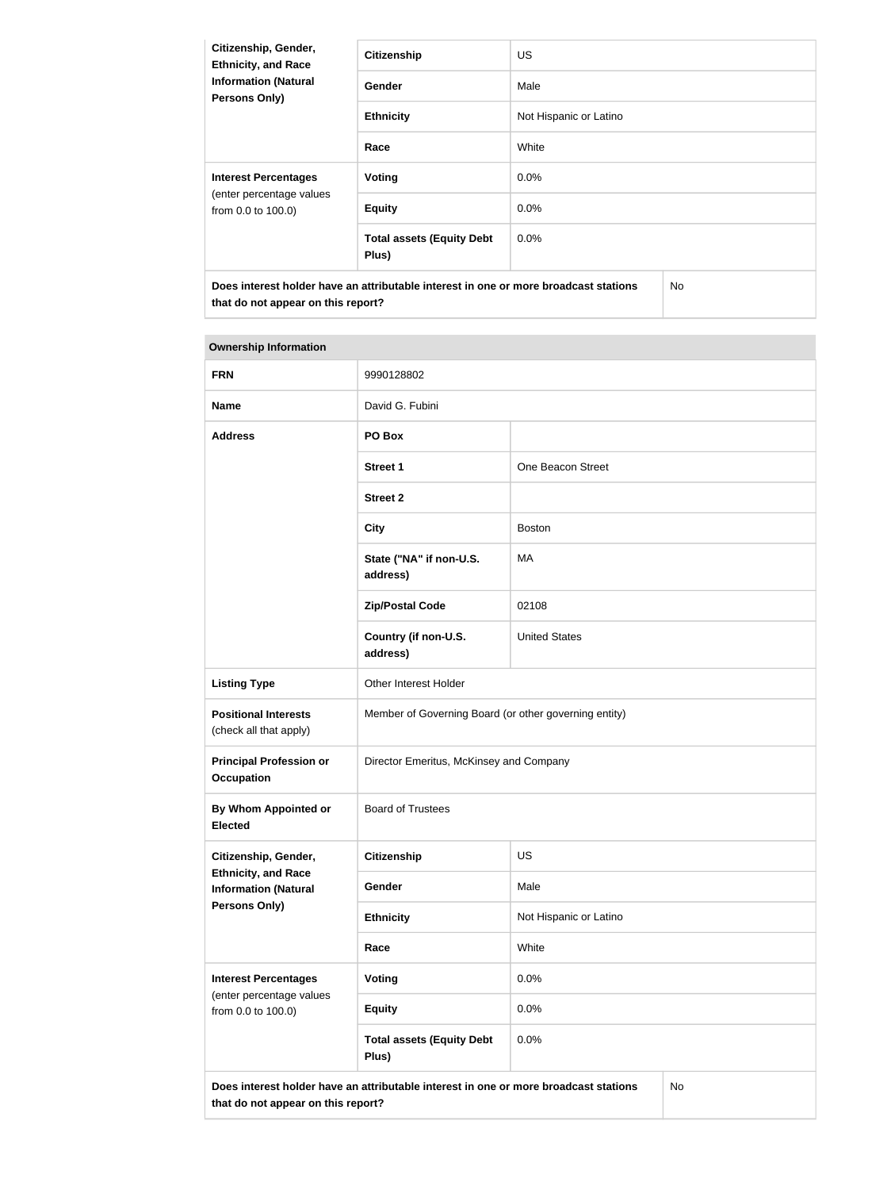| Citizenship, Gender,<br><b>Ethnicity, and Race</b> | <b>Citizenship</b>                                                                   | <b>US</b>              |     |
|----------------------------------------------------|--------------------------------------------------------------------------------------|------------------------|-----|
| <b>Information (Natural</b><br>Persons Only)       | Gender                                                                               | Male                   |     |
|                                                    | <b>Ethnicity</b>                                                                     | Not Hispanic or Latino |     |
|                                                    | Race                                                                                 | White                  |     |
| <b>Interest Percentages</b>                        | Voting                                                                               | $0.0\%$                |     |
| (enter percentage values<br>from 0.0 to 100.0)     | <b>Equity</b>                                                                        | $0.0\%$                |     |
|                                                    | <b>Total assets (Equity Debt</b><br>Plus)                                            | $0.0\%$                |     |
|                                                    | Does interest holder have an attributable interest in one or more broadcast stations |                        | No. |

| <b>FRN</b>                                                | 9990128802                                                                           |                        |           |
|-----------------------------------------------------------|--------------------------------------------------------------------------------------|------------------------|-----------|
| <b>Name</b>                                               | David G. Fubini                                                                      |                        |           |
| <b>Address</b>                                            | PO Box                                                                               |                        |           |
|                                                           | <b>Street 1</b>                                                                      | One Beacon Street      |           |
|                                                           | <b>Street 2</b>                                                                      |                        |           |
|                                                           | <b>City</b>                                                                          | <b>Boston</b>          |           |
|                                                           | State ("NA" if non-U.S.<br>address)                                                  | MA                     |           |
|                                                           | <b>Zip/Postal Code</b>                                                               | 02108                  |           |
|                                                           | Country (if non-U.S.<br>address)                                                     | <b>United States</b>   |           |
| <b>Listing Type</b>                                       | Other Interest Holder                                                                |                        |           |
| <b>Positional Interests</b><br>(check all that apply)     | Member of Governing Board (or other governing entity)                                |                        |           |
| <b>Principal Profession or</b><br>Occupation              | Director Emeritus, McKinsey and Company                                              |                        |           |
| <b>By Whom Appointed or</b><br><b>Elected</b>             | <b>Board of Trustees</b>                                                             |                        |           |
| Citizenship, Gender,                                      | Citizenship                                                                          | US                     |           |
| <b>Ethnicity, and Race</b><br><b>Information (Natural</b> | <b>Gender</b>                                                                        | Male                   |           |
| <b>Persons Only)</b>                                      | <b>Ethnicity</b>                                                                     | Not Hispanic or Latino |           |
|                                                           | Race                                                                                 | White                  |           |
| <b>Interest Percentages</b>                               | <b>Voting</b>                                                                        | 0.0%                   |           |
| (enter percentage values<br>from 0.0 to 100.0)            | <b>Equity</b>                                                                        | 0.0%                   |           |
|                                                           | <b>Total assets (Equity Debt</b><br>Plus)                                            | 0.0%                   |           |
| that do not appear on this report?                        | Does interest holder have an attributable interest in one or more broadcast stations |                        | <b>No</b> |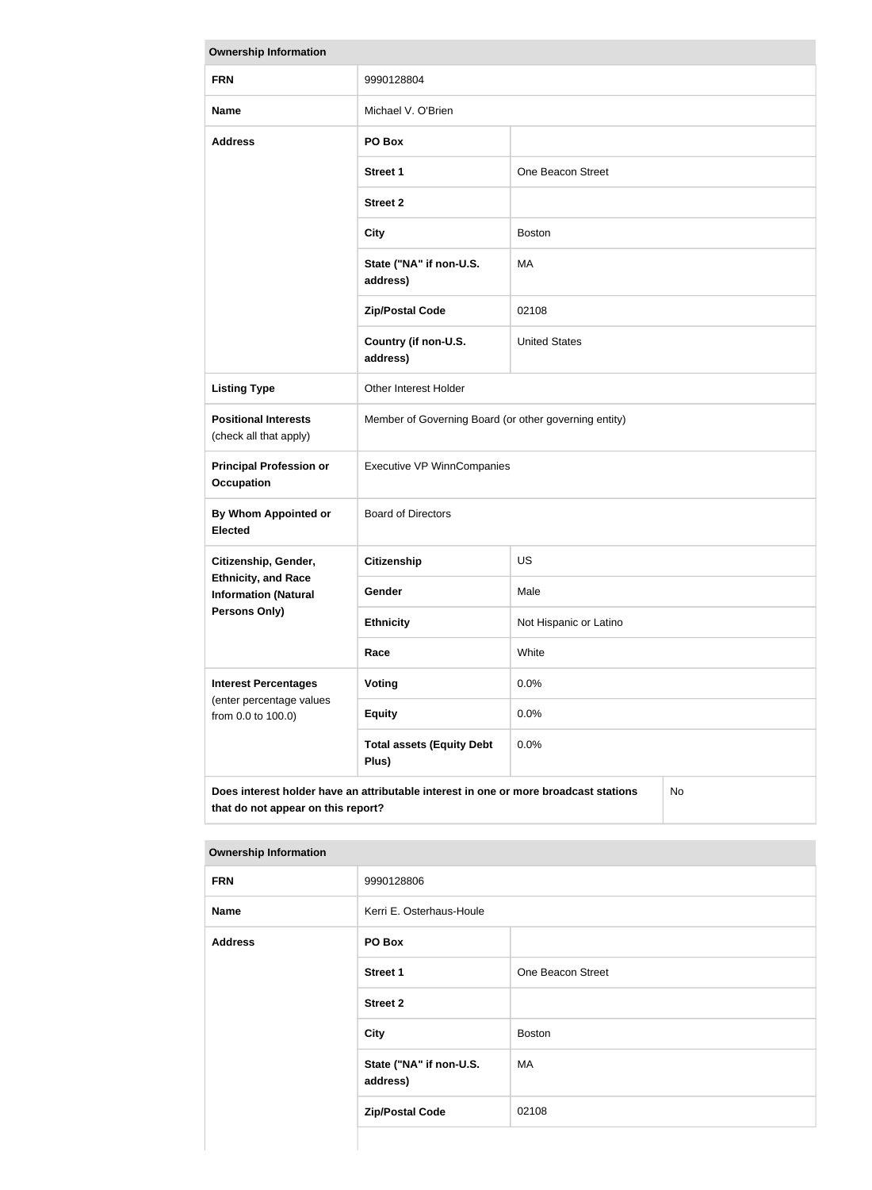| <b>Ownership Information</b>                              |                                                                                      |                        |           |
|-----------------------------------------------------------|--------------------------------------------------------------------------------------|------------------------|-----------|
| <b>FRN</b>                                                | 9990128804                                                                           |                        |           |
| <b>Name</b>                                               | Michael V. O'Brien                                                                   |                        |           |
| <b>Address</b>                                            | PO Box                                                                               |                        |           |
|                                                           | <b>Street 1</b>                                                                      | One Beacon Street      |           |
|                                                           | <b>Street 2</b>                                                                      |                        |           |
|                                                           | <b>City</b>                                                                          | <b>Boston</b>          |           |
|                                                           | State ("NA" if non-U.S.<br>address)                                                  | MA                     |           |
|                                                           | <b>Zip/Postal Code</b>                                                               | 02108                  |           |
|                                                           | Country (if non-U.S.<br>address)                                                     | <b>United States</b>   |           |
| <b>Listing Type</b>                                       | Other Interest Holder                                                                |                        |           |
| <b>Positional Interests</b><br>(check all that apply)     | Member of Governing Board (or other governing entity)                                |                        |           |
| <b>Principal Profession or</b><br><b>Occupation</b>       | <b>Executive VP WinnCompanies</b>                                                    |                        |           |
| By Whom Appointed or<br><b>Elected</b>                    | <b>Board of Directors</b>                                                            |                        |           |
| Citizenship, Gender,                                      | <b>Citizenship</b>                                                                   | <b>US</b>              |           |
| <b>Ethnicity, and Race</b><br><b>Information (Natural</b> | Gender                                                                               | Male                   |           |
| Persons Only)                                             | <b>Ethnicity</b>                                                                     | Not Hispanic or Latino |           |
|                                                           | Race                                                                                 | White                  |           |
| <b>Interest Percentages</b>                               | <b>Voting</b>                                                                        | 0.0%                   |           |
| (enter percentage values<br>from 0.0 to 100.0)            | <b>Equity</b>                                                                        | 0.0%                   |           |
|                                                           | <b>Total assets (Equity Debt</b><br>Plus)                                            | 0.0%                   |           |
| that do not appear on this report?                        | Does interest holder have an attributable interest in one or more broadcast stations |                        | <b>No</b> |

| <b>Ownership Information</b> |                                     |                   |
|------------------------------|-------------------------------------|-------------------|
| <b>FRN</b>                   | 9990128806                          |                   |
| <b>Name</b>                  | Kerri E. Osterhaus-Houle            |                   |
| <b>Address</b>               | PO Box                              |                   |
|                              | <b>Street 1</b>                     | One Beacon Street |
|                              | <b>Street 2</b>                     |                   |
|                              | <b>City</b>                         | <b>Boston</b>     |
|                              | State ("NA" if non-U.S.<br>address) | MA                |
|                              | <b>Zip/Postal Code</b>              | 02108             |
|                              |                                     |                   |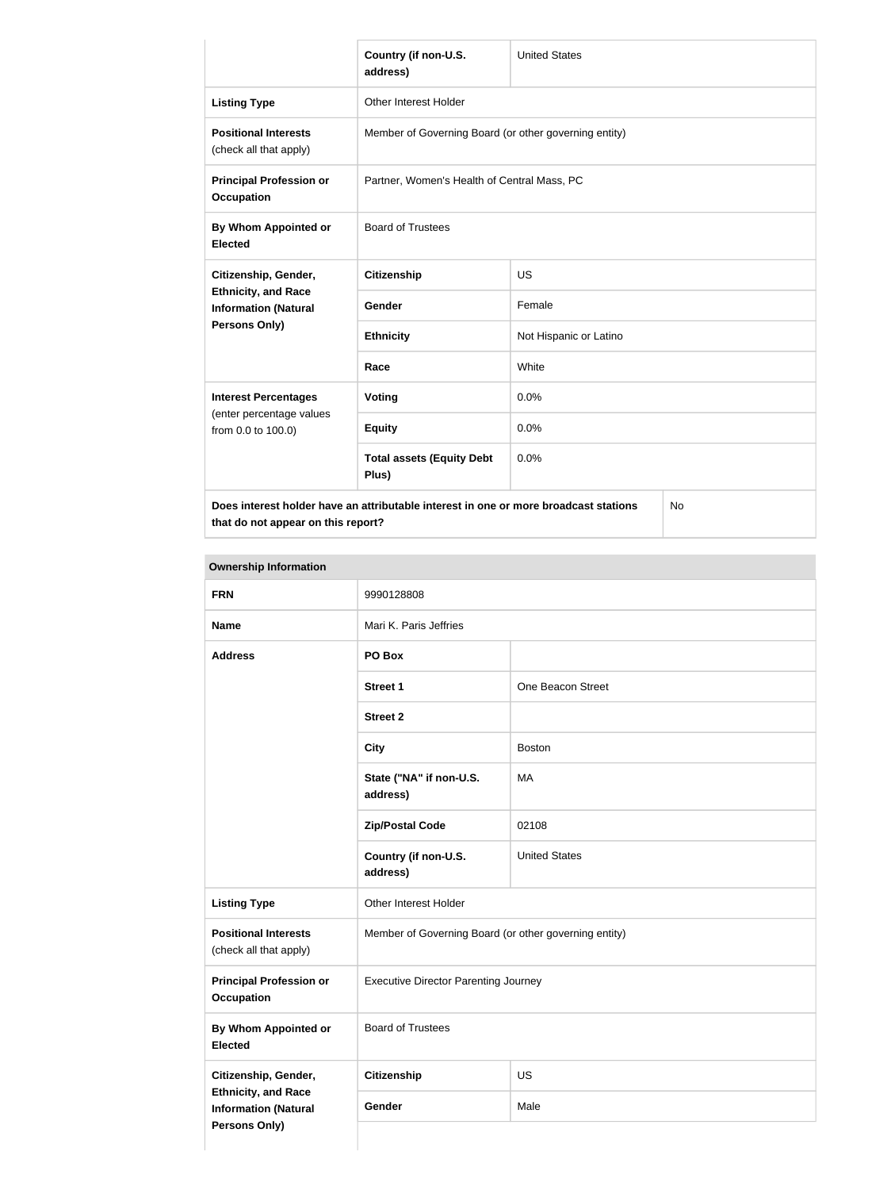|                                                           | Country (if non-U.S.<br>address)                                                     | <b>United States</b>   |    |
|-----------------------------------------------------------|--------------------------------------------------------------------------------------|------------------------|----|
| <b>Listing Type</b>                                       | Other Interest Holder                                                                |                        |    |
| <b>Positional Interests</b><br>(check all that apply)     | Member of Governing Board (or other governing entity)                                |                        |    |
| <b>Principal Profession or</b><br><b>Occupation</b>       | Partner, Women's Health of Central Mass, PC                                          |                        |    |
| By Whom Appointed or<br><b>Elected</b>                    | <b>Board of Trustees</b>                                                             |                        |    |
| Citizenship, Gender,                                      | <b>Citizenship</b>                                                                   | <b>US</b>              |    |
| <b>Ethnicity, and Race</b><br><b>Information (Natural</b> | <b>Gender</b>                                                                        | Female                 |    |
| Persons Only)                                             | <b>Ethnicity</b>                                                                     | Not Hispanic or Latino |    |
|                                                           | Race                                                                                 | White                  |    |
| <b>Interest Percentages</b>                               | Voting                                                                               | 0.0%                   |    |
| (enter percentage values<br>from 0.0 to 100.0)            | <b>Equity</b>                                                                        | 0.0%                   |    |
|                                                           | <b>Total assets (Equity Debt</b><br>Plus)                                            | 0.0%                   |    |
|                                                           | Does interest holder have an attributable interest in one or more broadcast stations |                        | No |

**that do not appear on this report?**

No

| <b>FRN</b>                                                                        | 9990128808                                            |                      |
|-----------------------------------------------------------------------------------|-------------------------------------------------------|----------------------|
| <b>Name</b>                                                                       | Mari K. Paris Jeffries                                |                      |
| <b>Address</b>                                                                    | PO Box                                                |                      |
|                                                                                   | <b>Street 1</b>                                       | One Beacon Street    |
|                                                                                   | <b>Street 2</b>                                       |                      |
|                                                                                   | <b>City</b>                                           | <b>Boston</b>        |
|                                                                                   | State ("NA" if non-U.S.<br>address)                   | MA                   |
|                                                                                   | <b>Zip/Postal Code</b>                                | 02108                |
|                                                                                   | Country (if non-U.S.<br>address)                      | <b>United States</b> |
| <b>Listing Type</b>                                                               | Other Interest Holder                                 |                      |
| <b>Positional Interests</b><br>(check all that apply)                             | Member of Governing Board (or other governing entity) |                      |
| <b>Principal Profession or</b><br><b>Occupation</b>                               | <b>Executive Director Parenting Journey</b>           |                      |
| <b>By Whom Appointed or</b><br><b>Elected</b>                                     | <b>Board of Trustees</b>                              |                      |
| Citizenship, Gender,                                                              | <b>Citizenship</b>                                    | US                   |
| <b>Ethnicity, and Race</b><br><b>Information (Natural</b><br><b>Persons Only)</b> | Gender                                                | Male                 |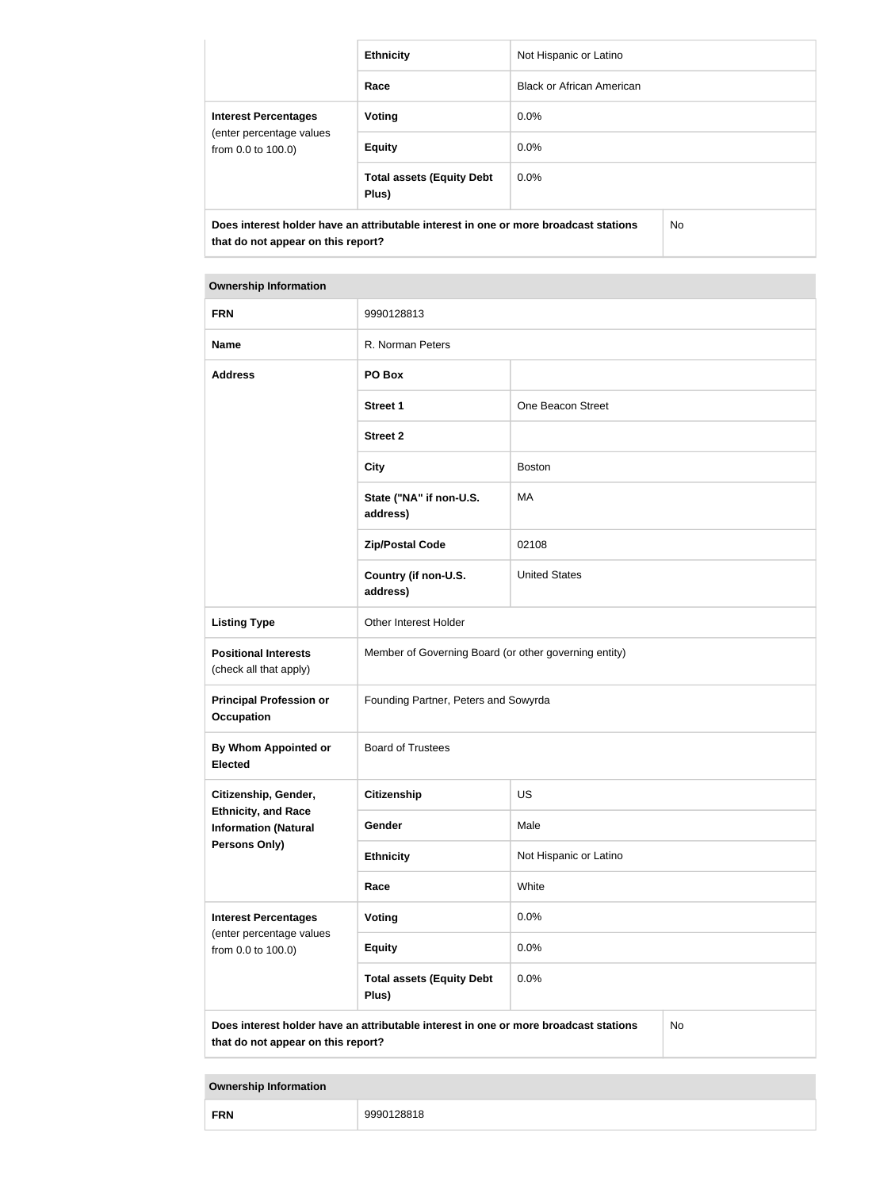|                                                | <b>Ethnicity</b>                                                                     | Not Hispanic or Latino           |     |
|------------------------------------------------|--------------------------------------------------------------------------------------|----------------------------------|-----|
|                                                | Race                                                                                 | <b>Black or African American</b> |     |
| <b>Interest Percentages</b>                    | Voting                                                                               | $0.0\%$                          |     |
| (enter percentage values<br>from 0.0 to 100.0) | <b>Equity</b>                                                                        | $0.0\%$                          |     |
|                                                | <b>Total assets (Equity Debt</b><br>Plus)                                            | $0.0\%$                          |     |
| that do not appear on this report?             | Does interest holder have an attributable interest in one or more broadcast stations |                                  | No. |

| <b>FRN</b>                                                | 9990128813                                                                           |                        |    |
|-----------------------------------------------------------|--------------------------------------------------------------------------------------|------------------------|----|
| <b>Name</b>                                               | R. Norman Peters                                                                     |                        |    |
| <b>Address</b>                                            | PO Box                                                                               |                        |    |
|                                                           | <b>Street 1</b>                                                                      | One Beacon Street      |    |
|                                                           | <b>Street 2</b>                                                                      |                        |    |
|                                                           | <b>City</b>                                                                          | <b>Boston</b>          |    |
|                                                           | State ("NA" if non-U.S.<br>address)                                                  | <b>MA</b>              |    |
|                                                           | <b>Zip/Postal Code</b>                                                               | 02108                  |    |
|                                                           | Country (if non-U.S.<br>address)                                                     | <b>United States</b>   |    |
| <b>Listing Type</b>                                       | Other Interest Holder                                                                |                        |    |
| <b>Positional Interests</b><br>(check all that apply)     | Member of Governing Board (or other governing entity)                                |                        |    |
| <b>Principal Profession or</b><br><b>Occupation</b>       | Founding Partner, Peters and Sowyrda                                                 |                        |    |
| By Whom Appointed or<br><b>Elected</b>                    | <b>Board of Trustees</b>                                                             |                        |    |
| Citizenship, Gender,                                      | <b>Citizenship</b>                                                                   | US                     |    |
| <b>Ethnicity, and Race</b><br><b>Information (Natural</b> | Gender                                                                               | Male                   |    |
| <b>Persons Only)</b>                                      | <b>Ethnicity</b>                                                                     | Not Hispanic or Latino |    |
|                                                           | Race                                                                                 | White                  |    |
| <b>Interest Percentages</b><br>(enter percentage values   | Voting                                                                               | 0.0%                   |    |
| from 0.0 to 100.0)                                        | <b>Equity</b>                                                                        | 0.0%                   |    |
|                                                           | <b>Total assets (Equity Debt</b><br>Plus)                                            | 0.0%                   |    |
| that do not appear on this report?                        | Does interest holder have an attributable interest in one or more broadcast stations |                        | No |

|  | <b>FRN</b> | $\overline{\phantom{a}}$ |
|--|------------|--------------------------|
|--|------------|--------------------------|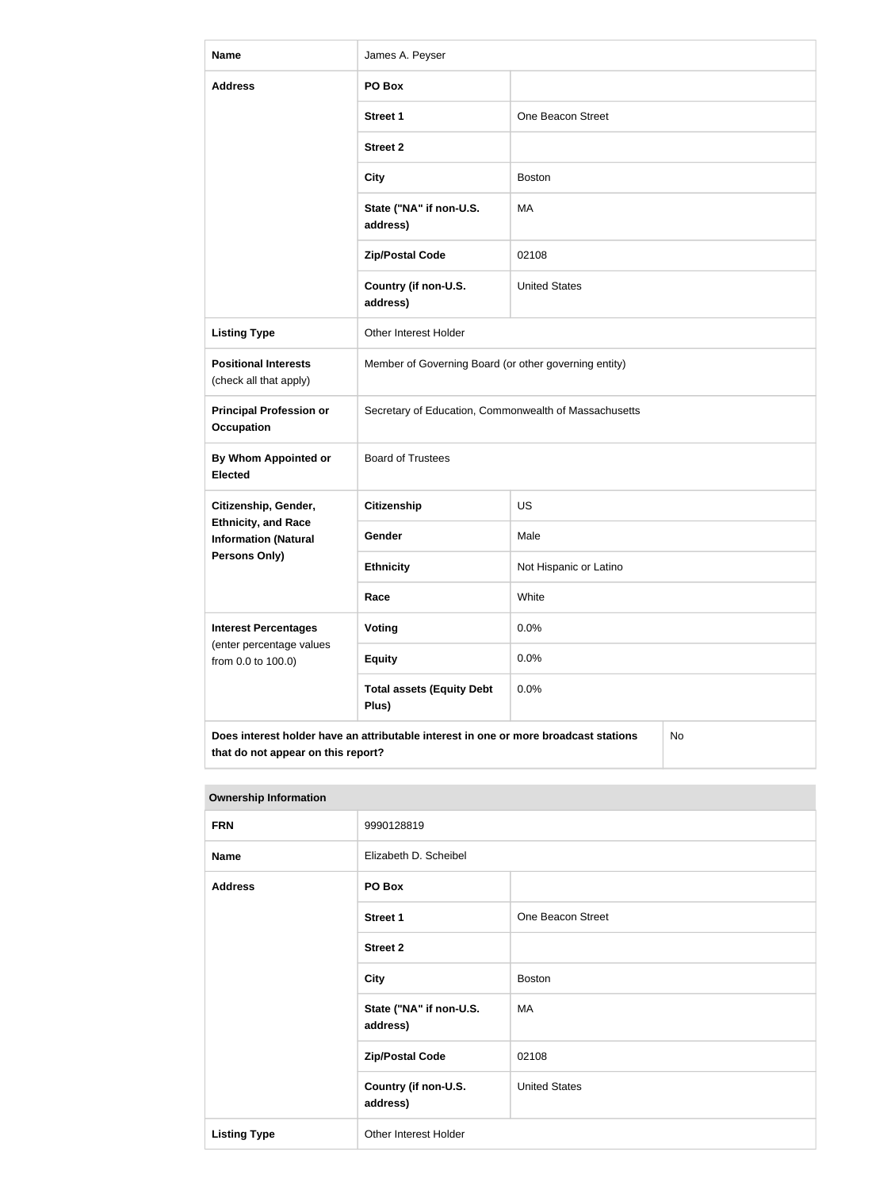| <b>Name</b>                                               | James A. Peyser                                                                      |                        |    |
|-----------------------------------------------------------|--------------------------------------------------------------------------------------|------------------------|----|
| <b>Address</b>                                            | PO Box                                                                               |                        |    |
|                                                           | <b>Street 1</b>                                                                      | One Beacon Street      |    |
|                                                           | <b>Street 2</b>                                                                      |                        |    |
|                                                           | <b>City</b>                                                                          | <b>Boston</b>          |    |
|                                                           | State ("NA" if non-U.S.<br>address)                                                  | MA                     |    |
|                                                           | <b>Zip/Postal Code</b>                                                               | 02108                  |    |
|                                                           | Country (if non-U.S.<br>address)                                                     | <b>United States</b>   |    |
| <b>Listing Type</b>                                       | Other Interest Holder                                                                |                        |    |
| <b>Positional Interests</b><br>(check all that apply)     | Member of Governing Board (or other governing entity)                                |                        |    |
| <b>Principal Profession or</b><br><b>Occupation</b>       | Secretary of Education, Commonwealth of Massachusetts                                |                        |    |
| By Whom Appointed or<br><b>Elected</b>                    | <b>Board of Trustees</b>                                                             |                        |    |
| Citizenship, Gender,                                      | <b>Citizenship</b>                                                                   | US                     |    |
| <b>Ethnicity, and Race</b><br><b>Information (Natural</b> | Gender                                                                               | Male                   |    |
| <b>Persons Only)</b>                                      | <b>Ethnicity</b>                                                                     | Not Hispanic or Latino |    |
|                                                           | Race                                                                                 | White                  |    |
| <b>Interest Percentages</b><br>(enter percentage values   | <b>Voting</b>                                                                        | 0.0%                   |    |
| from 0.0 to 100.0)                                        | <b>Equity</b>                                                                        | 0.0%                   |    |
|                                                           | <b>Total assets (Equity Debt</b><br>Plus)                                            | 0.0%                   |    |
| that do not appear on this report?                        | Does interest holder have an attributable interest in one or more broadcast stations |                        | No |

| <b>Ownership Information</b> |                                     |                      |  |
|------------------------------|-------------------------------------|----------------------|--|
| <b>FRN</b>                   | 9990128819                          |                      |  |
| <b>Name</b>                  | Elizabeth D. Scheibel               |                      |  |
| <b>Address</b>               | PO Box                              |                      |  |
|                              | <b>Street 1</b>                     | One Beacon Street    |  |
|                              | <b>Street 2</b>                     |                      |  |
|                              | <b>City</b>                         | <b>Boston</b>        |  |
|                              | State ("NA" if non-U.S.<br>address) | МA                   |  |
|                              | <b>Zip/Postal Code</b>              | 02108                |  |
|                              | Country (if non-U.S.<br>address)    | <b>United States</b> |  |
| <b>Listing Type</b>          | Other Interest Holder               |                      |  |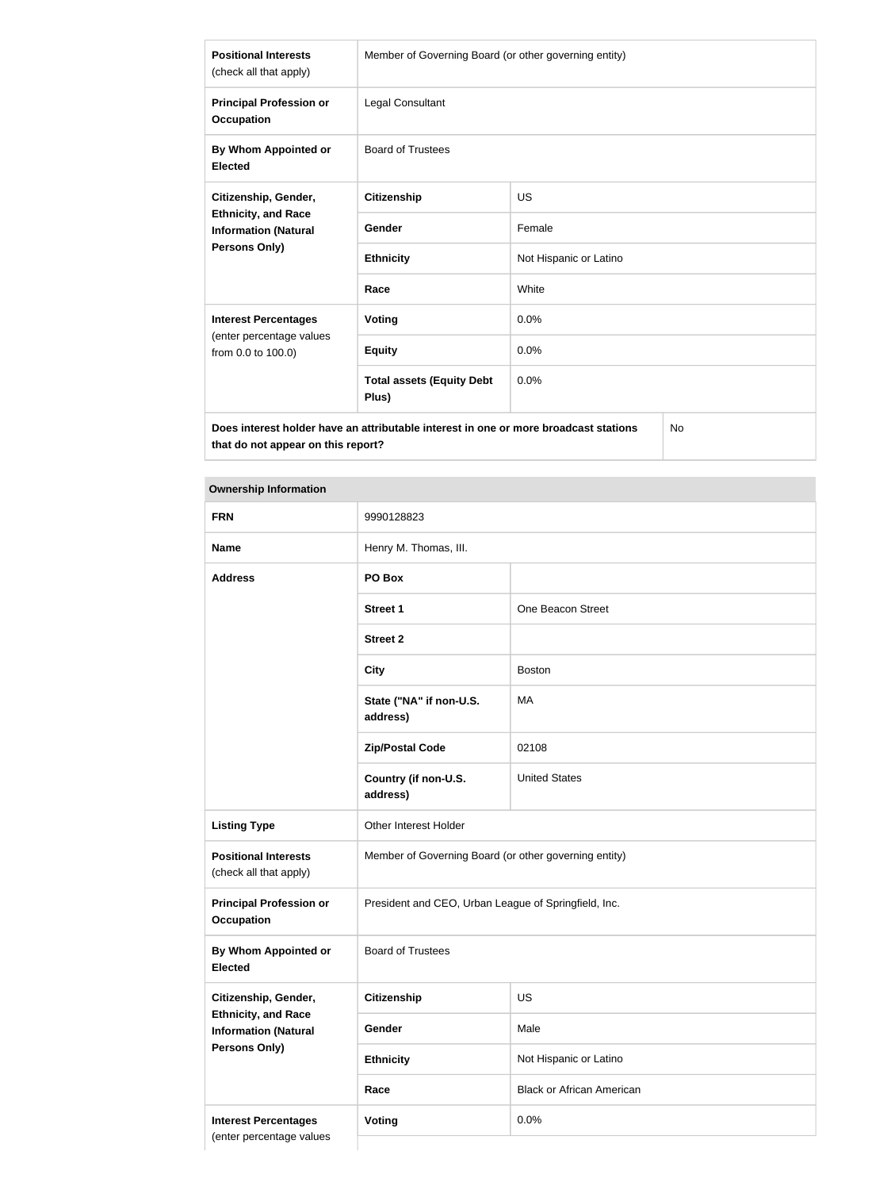| <b>Positional Interests</b><br>(check all that apply)                                               | Member of Governing Board (or other governing entity) |                        |
|-----------------------------------------------------------------------------------------------------|-------------------------------------------------------|------------------------|
| <b>Principal Profession or</b><br><b>Occupation</b>                                                 | Legal Consultant                                      |                        |
| By Whom Appointed or<br><b>Elected</b>                                                              | <b>Board of Trustees</b>                              |                        |
| Citizenship, Gender,<br><b>Ethnicity, and Race</b><br><b>Information (Natural</b>                   | Citizenship                                           | US                     |
|                                                                                                     | <b>Gender</b>                                         | Female                 |
| <b>Persons Only)</b>                                                                                | <b>Ethnicity</b>                                      | Not Hispanic or Latino |
|                                                                                                     | Race                                                  | White                  |
| <b>Interest Percentages</b>                                                                         | <b>Voting</b>                                         | 0.0%                   |
| (enter percentage values<br>from 0.0 to 100.0)                                                      | <b>Equity</b>                                         | 0.0%                   |
|                                                                                                     | <b>Total assets (Equity Debt</b><br>Plus)             | 0.0%                   |
| $N_{\rm A}$<br>Dees interest kelder keus en ettrikutekle interest in ens er mers kreedeset stetiens |                                                       |                        |

**Does interest holder have an attributable interest in one or more broadcast stations that do not appear on this report?**

No

| <b>FRN</b>                                                | 9990128823                                            |                                  |
|-----------------------------------------------------------|-------------------------------------------------------|----------------------------------|
| <b>Name</b>                                               | Henry M. Thomas, III.                                 |                                  |
| <b>Address</b>                                            | PO Box                                                |                                  |
|                                                           | <b>Street 1</b>                                       | One Beacon Street                |
|                                                           | <b>Street 2</b>                                       |                                  |
|                                                           | <b>City</b>                                           | <b>Boston</b>                    |
|                                                           | State ("NA" if non-U.S.<br>address)                   | MA                               |
|                                                           | <b>Zip/Postal Code</b>                                | 02108                            |
|                                                           | Country (if non-U.S.<br>address)                      | <b>United States</b>             |
| <b>Listing Type</b>                                       | Other Interest Holder                                 |                                  |
| <b>Positional Interests</b><br>(check all that apply)     | Member of Governing Board (or other governing entity) |                                  |
| <b>Principal Profession or</b><br><b>Occupation</b>       | President and CEO, Urban League of Springfield, Inc.  |                                  |
| By Whom Appointed or<br><b>Elected</b>                    | <b>Board of Trustees</b>                              |                                  |
| Citizenship, Gender,                                      | <b>Citizenship</b>                                    | US                               |
| <b>Ethnicity, and Race</b><br><b>Information (Natural</b> | Gender                                                | Male                             |
| <b>Persons Only)</b>                                      | <b>Ethnicity</b>                                      | Not Hispanic or Latino           |
|                                                           | Race                                                  | <b>Black or African American</b> |
| <b>Interest Percentages</b>                               | Voting                                                | 0.0%                             |
| (enter percentage values                                  |                                                       |                                  |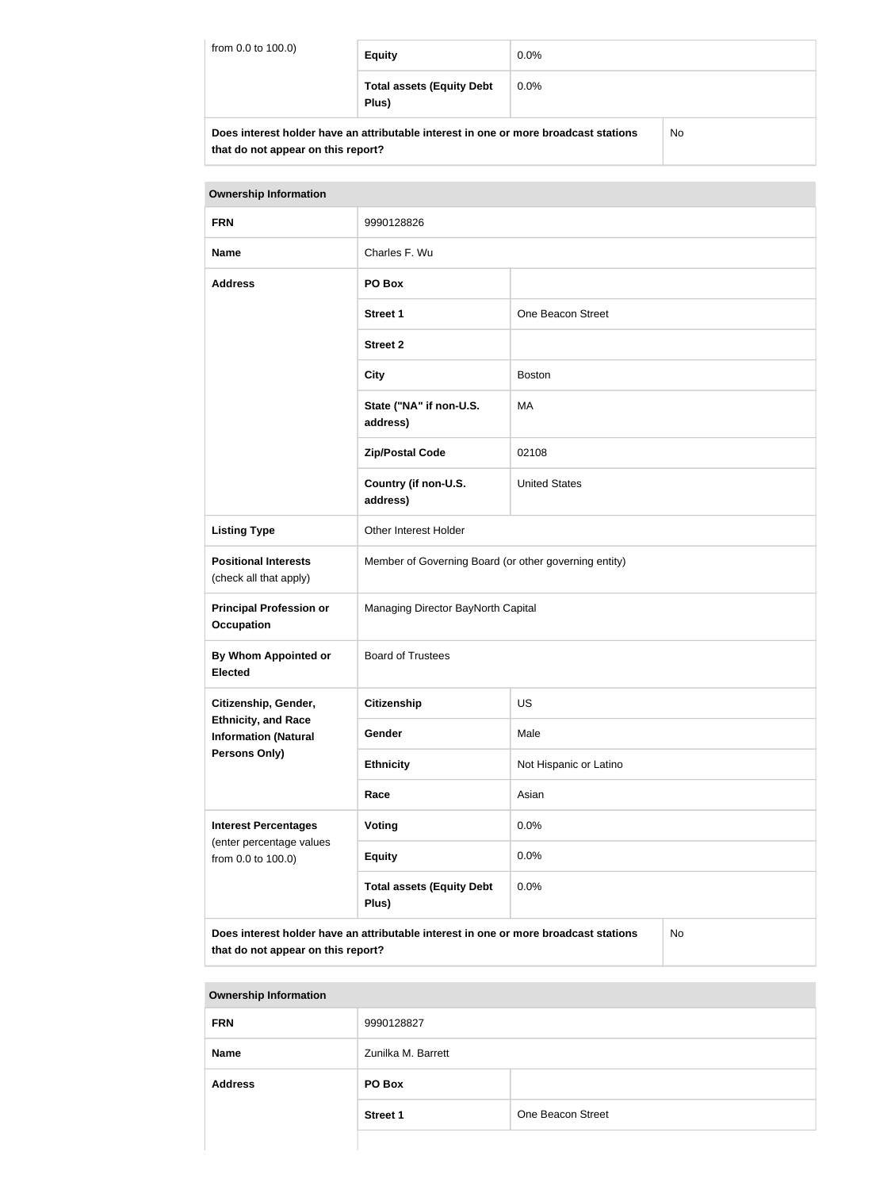| from 0.0 to 100.0)                                                                         | <b>Equity</b>                             | $0.0\%$ |  |
|--------------------------------------------------------------------------------------------|-------------------------------------------|---------|--|
|                                                                                            | <b>Total assets (Equity Debt</b><br>Plus) | $0.0\%$ |  |
| Does interest holder have an attributable interest in one or more broadcast stations<br>No |                                           |         |  |

| DOES INCRESI NORDER NAVE AN AUTHORIZIE INCRESI IN ONE OF MOTOR DIGIOASI SIANONS |  |
|---------------------------------------------------------------------------------|--|
| that do not appear on this report?                                              |  |

| <b>Ownership Information</b>                                                                                                            |                                                       |                        |  |
|-----------------------------------------------------------------------------------------------------------------------------------------|-------------------------------------------------------|------------------------|--|
| <b>FRN</b>                                                                                                                              | 9990128826                                            |                        |  |
| <b>Name</b>                                                                                                                             | Charles F. Wu                                         |                        |  |
| <b>Address</b>                                                                                                                          | PO Box                                                |                        |  |
|                                                                                                                                         | <b>Street 1</b>                                       | One Beacon Street      |  |
|                                                                                                                                         | <b>Street 2</b>                                       |                        |  |
|                                                                                                                                         | <b>City</b>                                           | <b>Boston</b>          |  |
|                                                                                                                                         | State ("NA" if non-U.S.<br>address)                   | <b>MA</b>              |  |
|                                                                                                                                         | <b>Zip/Postal Code</b>                                | 02108                  |  |
|                                                                                                                                         | Country (if non-U.S.<br>address)                      | <b>United States</b>   |  |
| <b>Listing Type</b>                                                                                                                     | Other Interest Holder                                 |                        |  |
| <b>Positional Interests</b><br>(check all that apply)                                                                                   | Member of Governing Board (or other governing entity) |                        |  |
| <b>Principal Profession or</b><br><b>Occupation</b>                                                                                     | Managing Director BayNorth Capital                    |                        |  |
| By Whom Appointed or<br><b>Elected</b>                                                                                                  | <b>Board of Trustees</b>                              |                        |  |
| Citizenship, Gender,                                                                                                                    | <b>Citizenship</b>                                    | <b>US</b>              |  |
| <b>Ethnicity, and Race</b><br><b>Information (Natural</b>                                                                               | Gender                                                | Male                   |  |
| <b>Persons Only)</b>                                                                                                                    | <b>Ethnicity</b>                                      | Not Hispanic or Latino |  |
|                                                                                                                                         | Race                                                  | Asian                  |  |
| <b>Interest Percentages</b><br>(enter percentage values                                                                                 | <b>Voting</b>                                         | 0.0%                   |  |
| from 0.0 to 100.0)                                                                                                                      | <b>Equity</b>                                         | 0.0%                   |  |
|                                                                                                                                         | <b>Total assets (Equity Debt</b><br>Plus)             | 0.0%                   |  |
| Does interest holder have an attributable interest in one or more broadcast stations<br><b>No</b><br>that do not appear on this report? |                                                       |                        |  |

| <b>Ownership Information</b> |                    |                   |
|------------------------------|--------------------|-------------------|
| <b>FRN</b>                   | 9990128827         |                   |
| <b>Name</b>                  | Zunilka M. Barrett |                   |
| <b>Address</b>               | PO Box             |                   |
|                              | <b>Street 1</b>    | One Beacon Street |
|                              |                    |                   |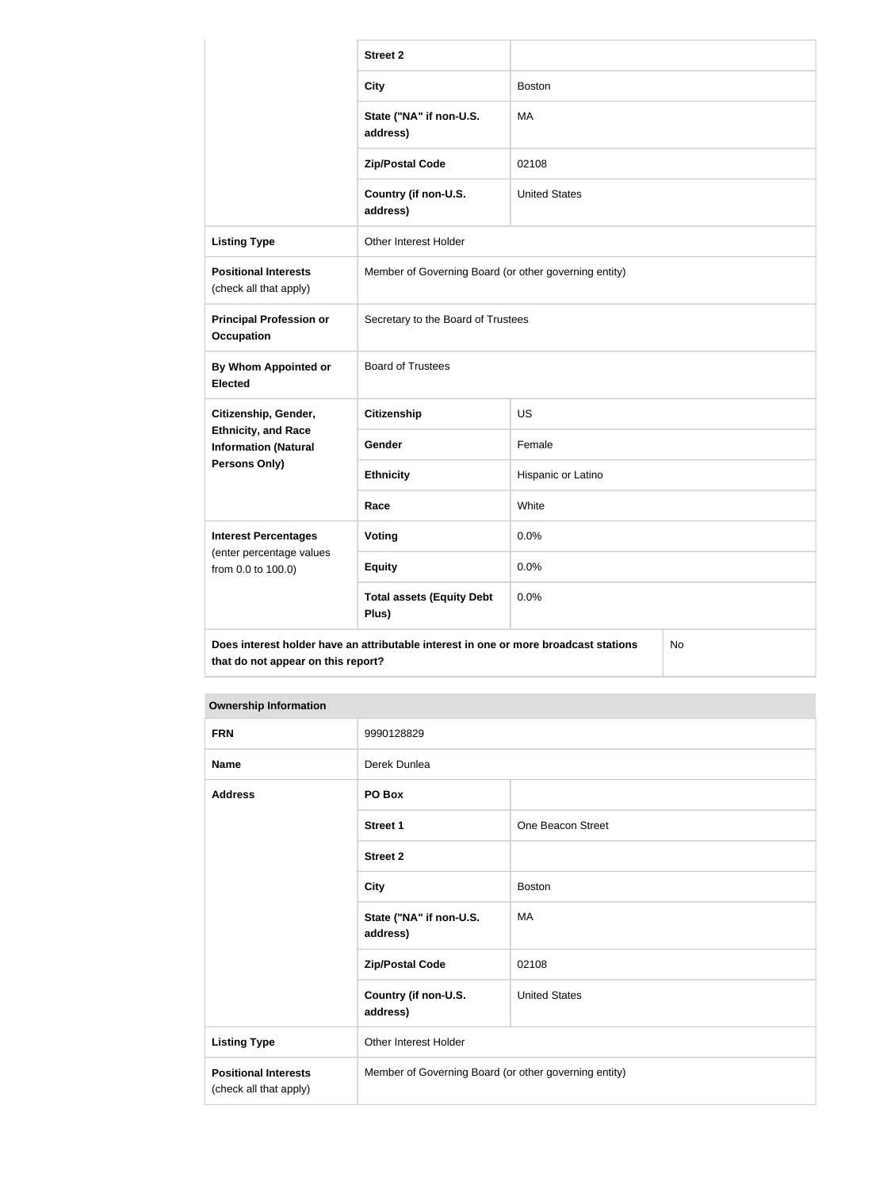|                                                           | <b>Street 2</b>                                                                            |                      |  |
|-----------------------------------------------------------|--------------------------------------------------------------------------------------------|----------------------|--|
|                                                           | <b>City</b>                                                                                | <b>Boston</b>        |  |
|                                                           | State ("NA" if non-U.S.<br>address)                                                        | MA                   |  |
|                                                           | <b>Zip/Postal Code</b>                                                                     | 02108                |  |
|                                                           | Country (if non-U.S.<br>address)                                                           | <b>United States</b> |  |
| <b>Listing Type</b>                                       | Other Interest Holder                                                                      |                      |  |
| <b>Positional Interests</b><br>(check all that apply)     | Member of Governing Board (or other governing entity)                                      |                      |  |
| <b>Principal Profession or</b><br>Occupation              | Secretary to the Board of Trustees                                                         |                      |  |
| <b>By Whom Appointed or</b><br><b>Elected</b>             | <b>Board of Trustees</b>                                                                   |                      |  |
| Citizenship, Gender,                                      | <b>Citizenship</b>                                                                         | <b>US</b>            |  |
| <b>Ethnicity, and Race</b><br><b>Information (Natural</b> | Gender                                                                                     | Female               |  |
| <b>Persons Only)</b>                                      | <b>Ethnicity</b>                                                                           | Hispanic or Latino   |  |
|                                                           | White<br>Race                                                                              |                      |  |
| <b>Interest Percentages</b>                               | Voting                                                                                     | 0.0%                 |  |
| (enter percentage values<br>from 0.0 to 100.0)            | <b>Equity</b>                                                                              | 0.0%                 |  |
|                                                           | <b>Total assets (Equity Debt</b><br>Plus)                                                  | 0.0%                 |  |
| that do not appear on this report?                        | Does interest holder have an attributable interest in one or more broadcast stations<br>No |                      |  |

| <b>FRN</b>                                            | 9990128829                                            |                      |
|-------------------------------------------------------|-------------------------------------------------------|----------------------|
| <b>Name</b>                                           | Derek Dunlea                                          |                      |
| <b>Address</b>                                        | PO Box                                                |                      |
|                                                       | <b>Street 1</b>                                       | One Beacon Street    |
|                                                       | <b>Street 2</b>                                       |                      |
|                                                       | <b>City</b>                                           | <b>Boston</b>        |
|                                                       | State ("NA" if non-U.S.<br>address)                   | <b>MA</b>            |
|                                                       | <b>Zip/Postal Code</b>                                | 02108                |
|                                                       | Country (if non-U.S.<br>address)                      | <b>United States</b> |
| <b>Listing Type</b>                                   | Other Interest Holder                                 |                      |
| <b>Positional Interests</b><br>(check all that apply) | Member of Governing Board (or other governing entity) |                      |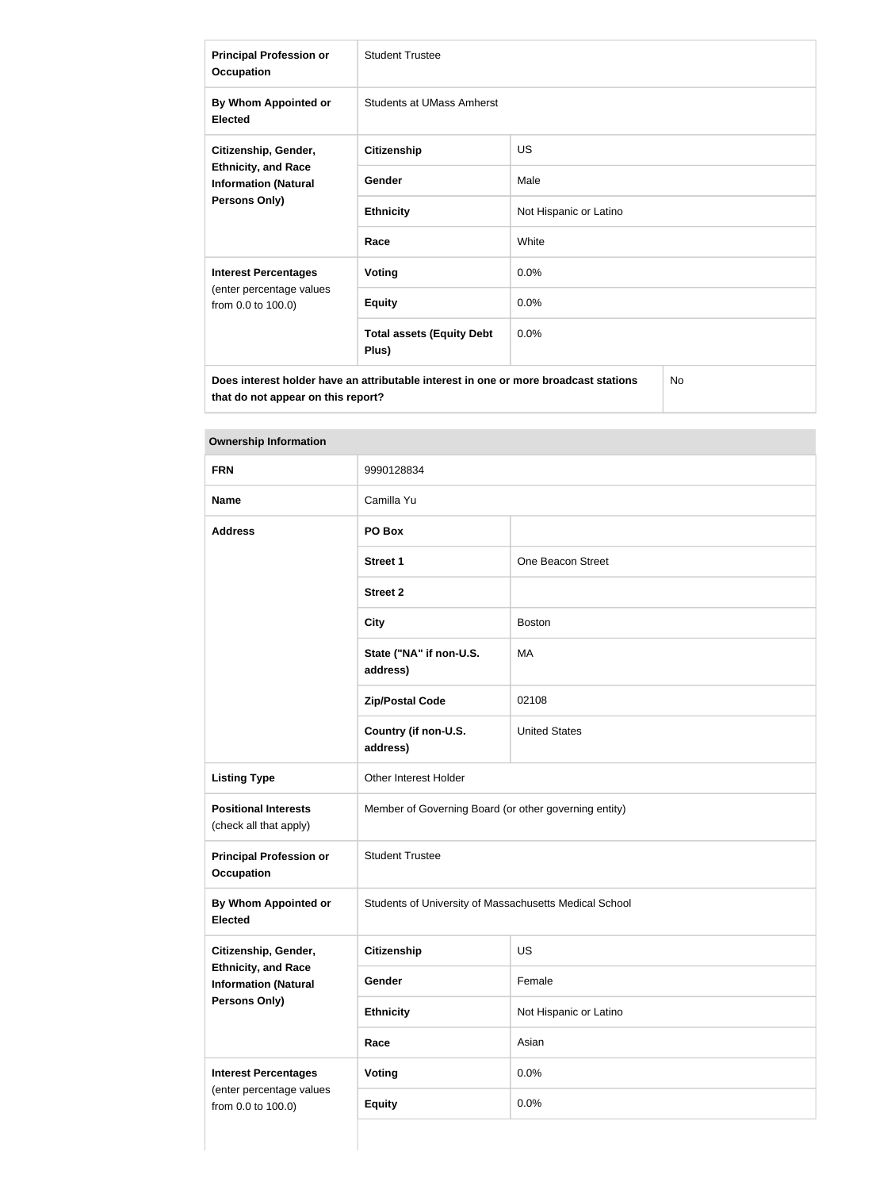| <b>Principal Profession or</b><br><b>Occupation</b>                                                    | <b>Student Trustee</b>                    |                        |  |
|--------------------------------------------------------------------------------------------------------|-------------------------------------------|------------------------|--|
| By Whom Appointed or<br><b>Elected</b>                                                                 | <b>Students at UMass Amherst</b>          |                        |  |
| Citizenship, Gender,                                                                                   | <b>Citizenship</b>                        | <b>US</b>              |  |
| <b>Ethnicity, and Race</b><br><b>Information (Natural</b><br><b>Persons Only)</b>                      | Gender                                    | Male                   |  |
|                                                                                                        | <b>Ethnicity</b>                          | Not Hispanic or Latino |  |
|                                                                                                        | Race                                      | White                  |  |
| <b>Interest Percentages</b>                                                                            | <b>Voting</b>                             | 0.0%                   |  |
| (enter percentage values<br>from 0.0 to 100.0)                                                         | <b>Equity</b>                             | 0.0%                   |  |
|                                                                                                        | <b>Total assets (Equity Debt</b><br>Plus) | 0.0%                   |  |
| N <sub>o</sub><br>Does interest holder have an attributable interest in one or more broadcast stations |                                           |                        |  |

| <b>FRN</b>                                                                 | 9990128834                                             |                        |
|----------------------------------------------------------------------------|--------------------------------------------------------|------------------------|
| <b>Name</b>                                                                | Camilla Yu                                             |                        |
| <b>Address</b>                                                             | PO Box                                                 |                        |
|                                                                            | <b>Street 1</b>                                        | One Beacon Street      |
|                                                                            | <b>Street 2</b>                                        |                        |
|                                                                            | <b>City</b>                                            | <b>Boston</b>          |
|                                                                            | State ("NA" if non-U.S.<br>address)                    | MA                     |
|                                                                            | <b>Zip/Postal Code</b>                                 | 02108                  |
|                                                                            | Country (if non-U.S.<br>address)                       | <b>United States</b>   |
| <b>Listing Type</b>                                                        | Other Interest Holder                                  |                        |
| <b>Positional Interests</b><br>(check all that apply)                      | Member of Governing Board (or other governing entity)  |                        |
| <b>Principal Profession or</b><br><b>Occupation</b>                        | <b>Student Trustee</b>                                 |                        |
| <b>By Whom Appointed or</b><br><b>Elected</b>                              | Students of University of Massachusetts Medical School |                        |
| Citizenship, Gender,                                                       | <b>Citizenship</b>                                     | US                     |
| <b>Ethnicity, and Race</b><br><b>Information (Natural</b><br>Persons Only) | Gender                                                 | Female                 |
|                                                                            | <b>Ethnicity</b>                                       | Not Hispanic or Latino |
|                                                                            | Race                                                   | Asian                  |
| <b>Interest Percentages</b>                                                | Voting                                                 | 0.0%                   |
| (enter percentage values<br>from 0.0 to 100.0)                             | <b>Equity</b>                                          | 0.0%                   |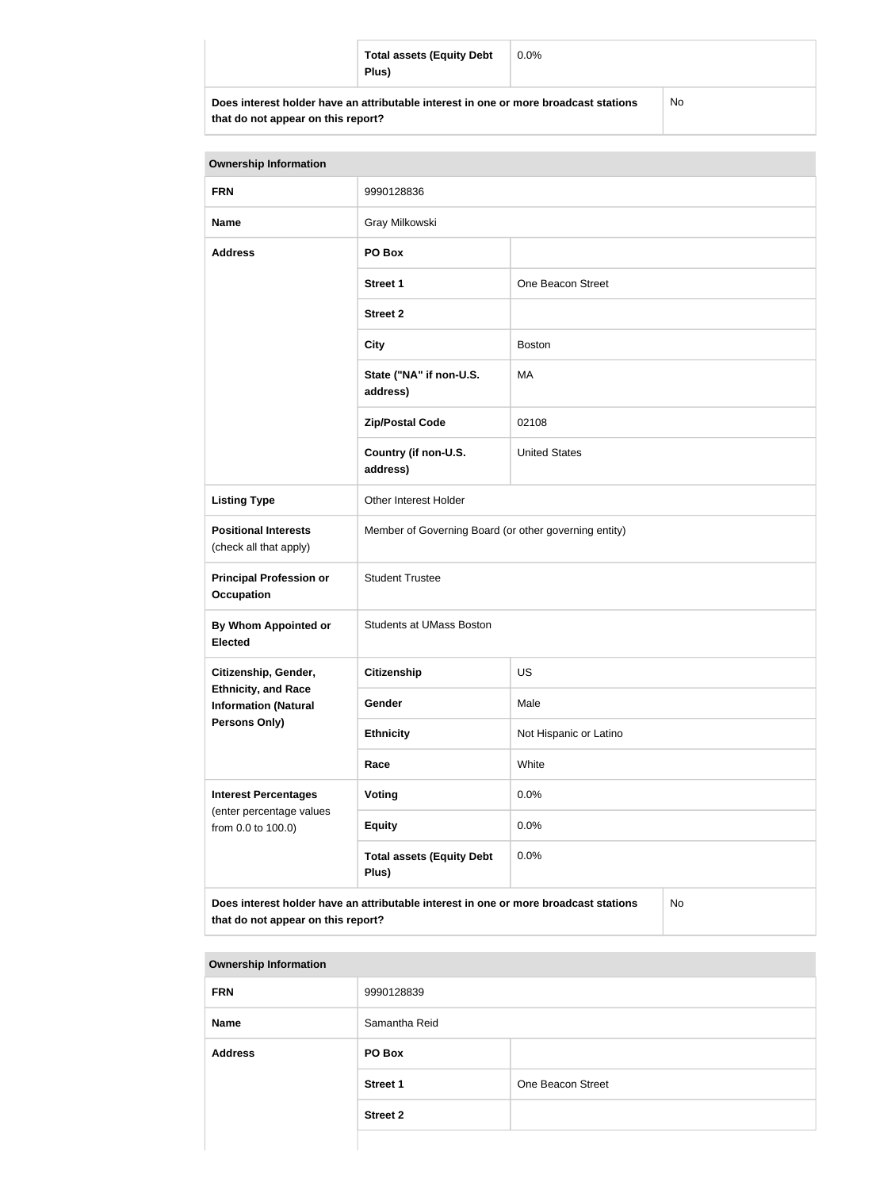| <b>Total assets (Equity Debt</b><br>Plus)                                            | $0.0\%$ |     |
|--------------------------------------------------------------------------------------|---------|-----|
| Does interest holder have an attributable interest in one or more broadcast stations |         | No. |

| <b>Ownership Information</b>                              |                                                                                      |                        |           |
|-----------------------------------------------------------|--------------------------------------------------------------------------------------|------------------------|-----------|
| <b>FRN</b>                                                | 9990128836                                                                           |                        |           |
| <b>Name</b>                                               | Gray Milkowski                                                                       |                        |           |
| <b>Address</b>                                            | PO Box                                                                               |                        |           |
|                                                           | <b>Street 1</b>                                                                      | One Beacon Street      |           |
|                                                           | <b>Street 2</b>                                                                      |                        |           |
|                                                           | <b>City</b>                                                                          | <b>Boston</b>          |           |
|                                                           | State ("NA" if non-U.S.<br>address)                                                  | MA                     |           |
|                                                           | <b>Zip/Postal Code</b>                                                               | 02108                  |           |
|                                                           | Country (if non-U.S.<br>address)                                                     | <b>United States</b>   |           |
| <b>Listing Type</b>                                       | Other Interest Holder                                                                |                        |           |
| <b>Positional Interests</b><br>(check all that apply)     | Member of Governing Board (or other governing entity)                                |                        |           |
| <b>Principal Profession or</b><br><b>Occupation</b>       | <b>Student Trustee</b>                                                               |                        |           |
| By Whom Appointed or<br><b>Elected</b>                    | <b>Students at UMass Boston</b>                                                      |                        |           |
| Citizenship, Gender,                                      | <b>Citizenship</b>                                                                   | <b>US</b>              |           |
| <b>Ethnicity, and Race</b><br><b>Information (Natural</b> | Gender                                                                               | Male                   |           |
| <b>Persons Only)</b>                                      | <b>Ethnicity</b>                                                                     | Not Hispanic or Latino |           |
|                                                           | Race                                                                                 | White                  |           |
| <b>Interest Percentages</b><br>(enter percentage values   | Voting                                                                               | 0.0%                   |           |
| from 0.0 to 100.0)                                        | <b>Equity</b>                                                                        | 0.0%                   |           |
|                                                           | <b>Total assets (Equity Debt</b><br>Plus)                                            | 0.0%                   |           |
| that do not appear on this report?                        | Does interest holder have an attributable interest in one or more broadcast stations |                        | <b>No</b> |

| <b>Ownership Information</b> |                 |                   |
|------------------------------|-----------------|-------------------|
| <b>FRN</b>                   | 9990128839      |                   |
| <b>Name</b>                  | Samantha Reid   |                   |
| <b>Address</b>               | PO Box          |                   |
|                              | <b>Street 1</b> | One Beacon Street |
|                              | <b>Street 2</b> |                   |
|                              |                 |                   |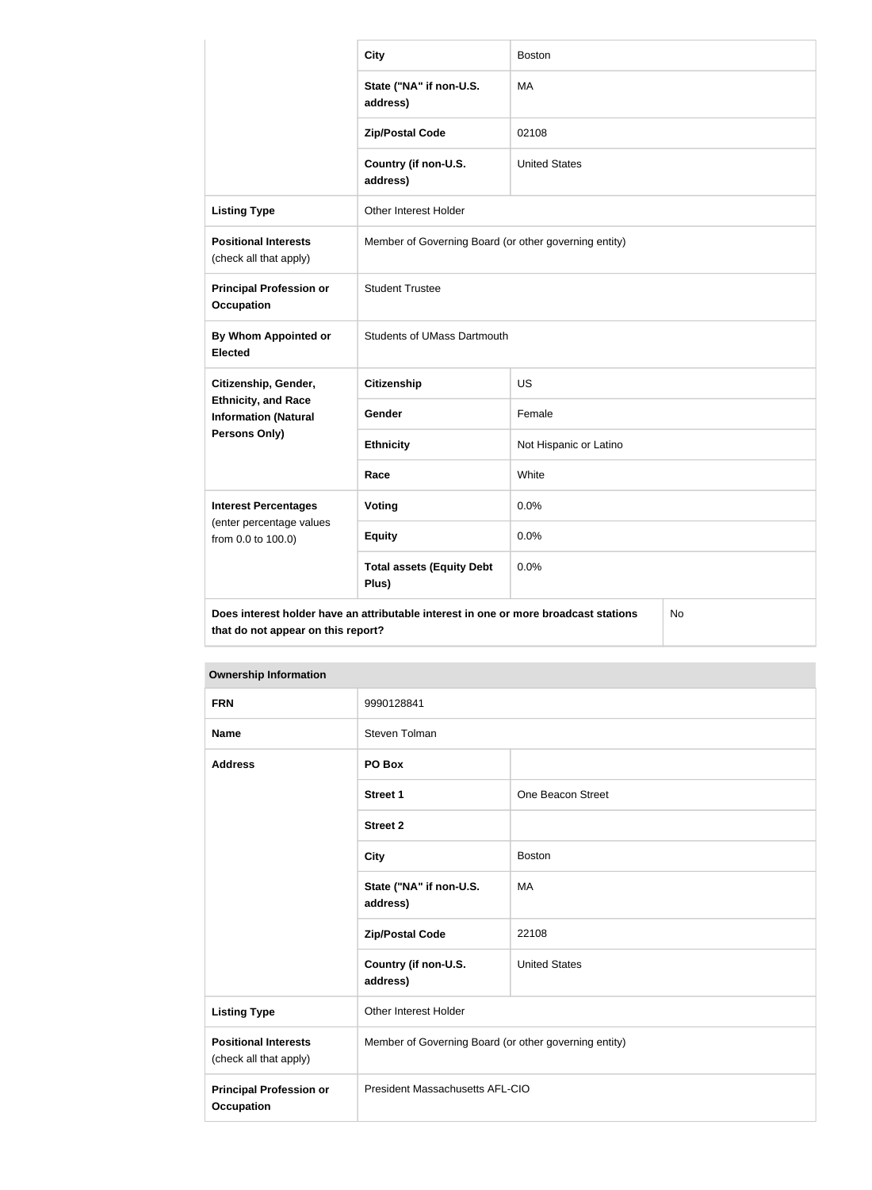|                                                           | <b>City</b>                                                                          | <b>Boston</b>                                         |    |  |
|-----------------------------------------------------------|--------------------------------------------------------------------------------------|-------------------------------------------------------|----|--|
|                                                           | State ("NA" if non-U.S.<br>address)                                                  | MA                                                    |    |  |
|                                                           | <b>Zip/Postal Code</b>                                                               | 02108                                                 |    |  |
|                                                           | Country (if non-U.S.<br>address)                                                     | <b>United States</b>                                  |    |  |
| <b>Listing Type</b>                                       | Other Interest Holder                                                                |                                                       |    |  |
| <b>Positional Interests</b><br>(check all that apply)     |                                                                                      | Member of Governing Board (or other governing entity) |    |  |
| <b>Principal Profession or</b><br><b>Occupation</b>       | <b>Student Trustee</b>                                                               |                                                       |    |  |
| By Whom Appointed or<br><b>Elected</b>                    | <b>Students of UMass Dartmouth</b>                                                   |                                                       |    |  |
| Citizenship, Gender,                                      | <b>Citizenship</b>                                                                   | <b>US</b>                                             |    |  |
| <b>Ethnicity, and Race</b><br><b>Information (Natural</b> | Gender                                                                               | Female                                                |    |  |
| Persons Only)                                             | <b>Ethnicity</b>                                                                     | Not Hispanic or Latino                                |    |  |
|                                                           | Race                                                                                 | White                                                 |    |  |
| <b>Interest Percentages</b>                               | Voting                                                                               | 0.0%                                                  |    |  |
| (enter percentage values<br>from 0.0 to 100.0)            | <b>Equity</b>                                                                        | 0.0%                                                  |    |  |
|                                                           | <b>Total assets (Equity Debt</b><br>Plus)                                            | 0.0%                                                  |    |  |
| that do not appear on this report?                        | Does interest holder have an attributable interest in one or more broadcast stations |                                                       | No |  |

| <b>Ownership Information</b>                          |                                                       |                      |
|-------------------------------------------------------|-------------------------------------------------------|----------------------|
| <b>FRN</b>                                            | 9990128841                                            |                      |
| <b>Name</b>                                           | Steven Tolman                                         |                      |
| <b>Address</b>                                        | PO Box                                                |                      |
|                                                       | <b>Street 1</b>                                       | One Beacon Street    |
|                                                       | <b>Street 2</b>                                       |                      |
|                                                       | <b>City</b>                                           | <b>Boston</b>        |
|                                                       | State ("NA" if non-U.S.<br>address)                   | MA                   |
|                                                       | <b>Zip/Postal Code</b>                                | 22108                |
|                                                       | Country (if non-U.S.<br>address)                      | <b>United States</b> |
| <b>Listing Type</b>                                   | Other Interest Holder                                 |                      |
| <b>Positional Interests</b><br>(check all that apply) | Member of Governing Board (or other governing entity) |                      |
| <b>Principal Profession or</b><br><b>Occupation</b>   | President Massachusetts AFL-CIO                       |                      |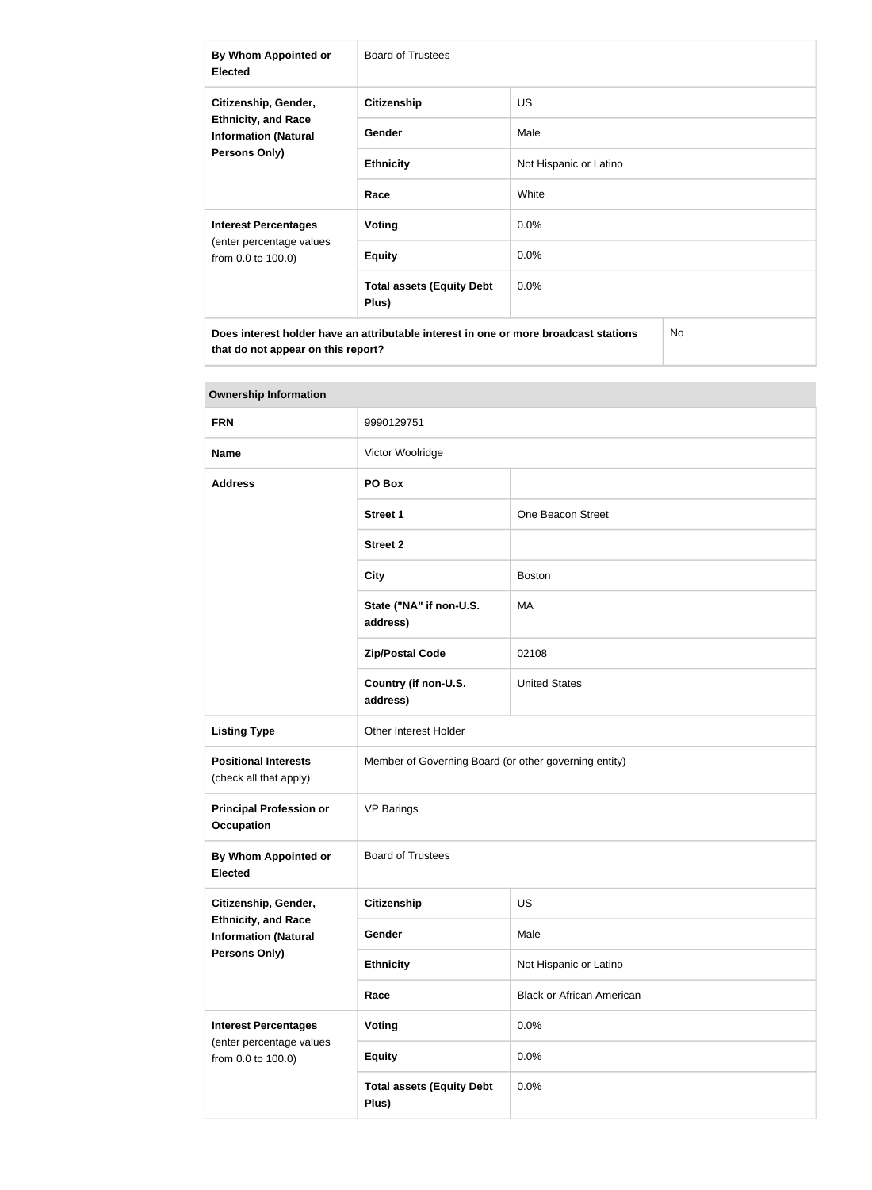| By Whom Appointed or<br><b>Elected</b>                                        | <b>Board of Trustees</b>                                                             |                        |
|-------------------------------------------------------------------------------|--------------------------------------------------------------------------------------|------------------------|
| Citizenship, Gender,                                                          | <b>Citizenship</b>                                                                   | <b>US</b>              |
| <b>Ethnicity, and Race</b><br><b>Information (Natural</b>                     | <b>Gender</b>                                                                        | Male                   |
| <b>Persons Only)</b>                                                          | <b>Ethnicity</b>                                                                     | Not Hispanic or Latino |
|                                                                               | Race                                                                                 | White                  |
| <b>Interest Percentages</b><br>(enter percentage values<br>from 0.0 to 100.0) | Voting                                                                               | $0.0\%$                |
|                                                                               | <b>Equity</b>                                                                        | 0.0%                   |
|                                                                               | <b>Total assets (Equity Debt</b><br>Plus)                                            | 0.0%                   |
|                                                                               | Does interest holder have an attributable interest in one or more broadcast stations | <b>No</b>              |

| <b>Ownership Information</b>                                               |                                                       |                                  |
|----------------------------------------------------------------------------|-------------------------------------------------------|----------------------------------|
| <b>FRN</b>                                                                 | 9990129751                                            |                                  |
| <b>Name</b>                                                                | Victor Woolridge                                      |                                  |
| <b>Address</b>                                                             | PO Box                                                |                                  |
|                                                                            | <b>Street 1</b>                                       | One Beacon Street                |
|                                                                            | <b>Street 2</b>                                       |                                  |
|                                                                            | <b>City</b>                                           | <b>Boston</b>                    |
|                                                                            | State ("NA" if non-U.S.<br>address)                   | MA                               |
|                                                                            | <b>Zip/Postal Code</b>                                | 02108                            |
|                                                                            | Country (if non-U.S.<br>address)                      | <b>United States</b>             |
| <b>Listing Type</b>                                                        | Other Interest Holder                                 |                                  |
| <b>Positional Interests</b><br>(check all that apply)                      | Member of Governing Board (or other governing entity) |                                  |
| <b>Principal Profession or</b><br><b>Occupation</b>                        | <b>VP Barings</b>                                     |                                  |
| By Whom Appointed or<br><b>Elected</b>                                     | <b>Board of Trustees</b>                              |                                  |
| Citizenship, Gender,                                                       | <b>Citizenship</b>                                    | <b>US</b>                        |
| <b>Ethnicity, and Race</b><br><b>Information (Natural</b><br>Persons Only) | Gender                                                | Male                             |
|                                                                            | <b>Ethnicity</b>                                      | Not Hispanic or Latino           |
|                                                                            | Race                                                  | <b>Black or African American</b> |
| <b>Interest Percentages</b>                                                | <b>Voting</b>                                         | 0.0%                             |
| (enter percentage values<br>from 0.0 to 100.0)                             | <b>Equity</b>                                         | 0.0%                             |
|                                                                            | <b>Total assets (Equity Debt</b><br>Plus)             | 0.0%                             |

### **The State**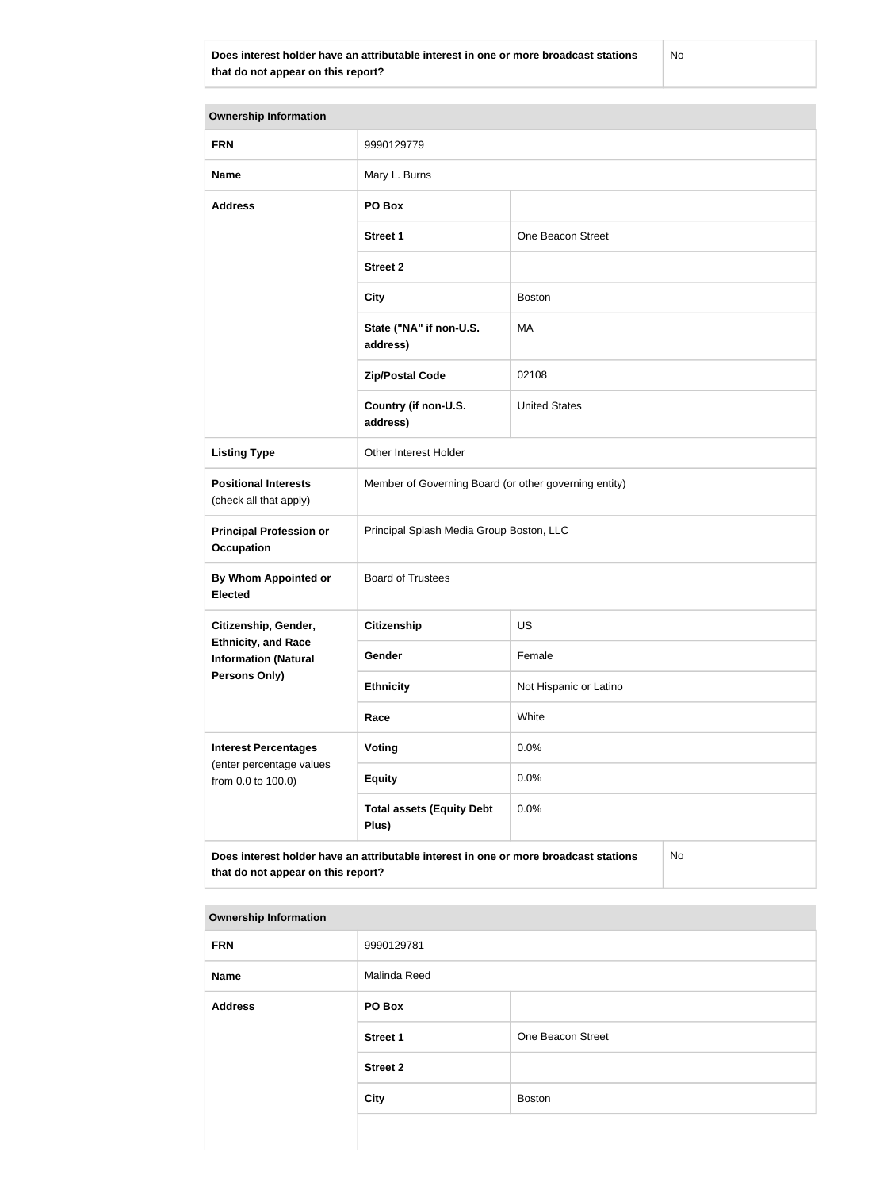**Does interest holder have an attributable interest in one or more broadcast stations that do not appear on this report?**

No

| <b>Ownership Information</b>                                                  |                                                                                      |                        |  |
|-------------------------------------------------------------------------------|--------------------------------------------------------------------------------------|------------------------|--|
| <b>FRN</b>                                                                    | 9990129779                                                                           |                        |  |
| <b>Name</b>                                                                   | Mary L. Burns                                                                        |                        |  |
| <b>Address</b>                                                                | PO Box                                                                               |                        |  |
|                                                                               | <b>Street 1</b>                                                                      | One Beacon Street      |  |
|                                                                               | <b>Street 2</b>                                                                      |                        |  |
|                                                                               | <b>City</b>                                                                          | <b>Boston</b>          |  |
|                                                                               | State ("NA" if non-U.S.<br>address)                                                  | MA                     |  |
|                                                                               | <b>Zip/Postal Code</b>                                                               | 02108                  |  |
|                                                                               | Country (if non-U.S.<br>address)                                                     | <b>United States</b>   |  |
| <b>Listing Type</b>                                                           | Other Interest Holder                                                                |                        |  |
| <b>Positional Interests</b><br>(check all that apply)                         | Member of Governing Board (or other governing entity)                                |                        |  |
| <b>Principal Profession or</b><br><b>Occupation</b>                           | Principal Splash Media Group Boston, LLC                                             |                        |  |
| By Whom Appointed or<br><b>Elected</b>                                        | <b>Board of Trustees</b>                                                             |                        |  |
| Citizenship, Gender,                                                          | Citizenship                                                                          | US                     |  |
| <b>Ethnicity, and Race</b><br><b>Information (Natural</b>                     | Gender                                                                               | Female                 |  |
| <b>Persons Only)</b>                                                          | <b>Ethnicity</b>                                                                     | Not Hispanic or Latino |  |
|                                                                               | Race                                                                                 | White                  |  |
| <b>Interest Percentages</b><br>(enter percentage values<br>from 0.0 to 100.0) | Voting                                                                               | 0.0%                   |  |
|                                                                               | <b>Equity</b>                                                                        | 0.0%                   |  |
|                                                                               | <b>Total assets (Equity Debt</b><br>Plus)                                            | 0.0%                   |  |
| that do not appear on this report?                                            | Does interest holder have an attributable interest in one or more broadcast stations | No                     |  |

| <b>FRN</b>     | 9990129781      |                   |
|----------------|-----------------|-------------------|
| Name           | Malinda Reed    |                   |
| <b>Address</b> | PO Box          |                   |
|                | <b>Street 1</b> | One Beacon Street |
|                | <b>Street 2</b> |                   |
|                | <b>City</b>     | <b>Boston</b>     |
|                |                 |                   |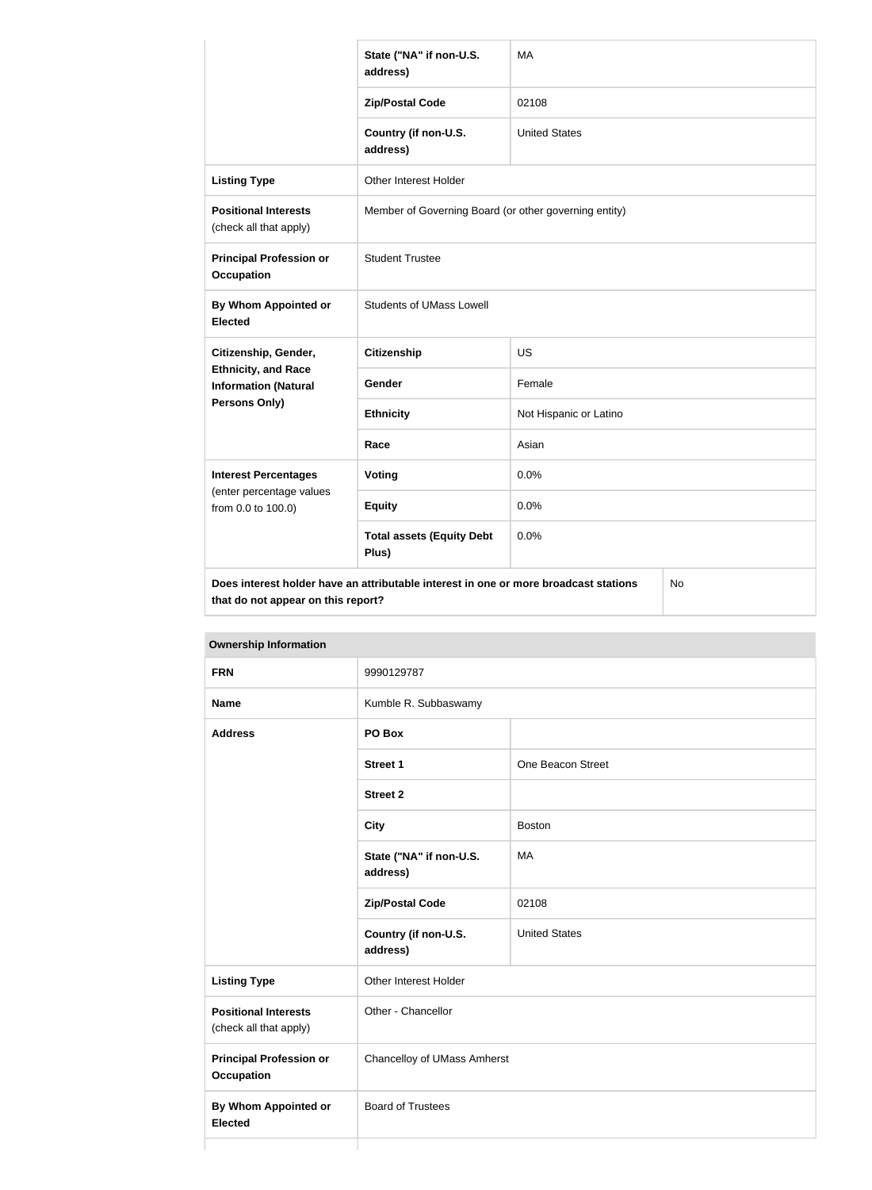|                                                           | State ("NA" if non-U.S.<br>address)                                                  | <b>MA</b>                                             |           |
|-----------------------------------------------------------|--------------------------------------------------------------------------------------|-------------------------------------------------------|-----------|
|                                                           | <b>Zip/Postal Code</b>                                                               | 02108                                                 |           |
|                                                           | Country (if non-U.S.<br>address)                                                     | <b>United States</b>                                  |           |
| <b>Listing Type</b>                                       | Other Interest Holder                                                                |                                                       |           |
| <b>Positional Interests</b><br>(check all that apply)     |                                                                                      | Member of Governing Board (or other governing entity) |           |
| <b>Principal Profession or</b><br><b>Occupation</b>       | <b>Student Trustee</b>                                                               |                                                       |           |
| <b>By Whom Appointed or</b><br><b>Elected</b>             | <b>Students of UMass Lowell</b>                                                      |                                                       |           |
| Citizenship, Gender,                                      | <b>Citizenship</b>                                                                   | <b>US</b>                                             |           |
| <b>Ethnicity, and Race</b><br><b>Information (Natural</b> | <b>Gender</b>                                                                        | Female                                                |           |
| <b>Persons Only)</b>                                      | <b>Ethnicity</b>                                                                     | Not Hispanic or Latino                                |           |
|                                                           | Race                                                                                 | Asian                                                 |           |
| <b>Interest Percentages</b>                               | <b>Voting</b>                                                                        | 0.0%                                                  |           |
| (enter percentage values<br>from 0.0 to 100.0)            | <b>Equity</b>                                                                        | 0.0%                                                  |           |
|                                                           | <b>Total assets (Equity Debt</b><br>Plus)                                            | 0.0%                                                  |           |
| that do not appear on this report?                        | Does interest holder have an attributable interest in one or more broadcast stations |                                                       | <b>No</b> |

| <b>FRN</b>                                            | 9990129787                          |                      |
|-------------------------------------------------------|-------------------------------------|----------------------|
| <b>Name</b>                                           | Kumble R. Subbaswamy                |                      |
| <b>Address</b>                                        | PO Box                              |                      |
|                                                       | <b>Street 1</b>                     | One Beacon Street    |
|                                                       | <b>Street 2</b>                     |                      |
|                                                       | <b>City</b>                         | <b>Boston</b>        |
|                                                       | State ("NA" if non-U.S.<br>address) | MA                   |
|                                                       | <b>Zip/Postal Code</b>              | 02108                |
|                                                       | Country (if non-U.S.<br>address)    | <b>United States</b> |
| <b>Listing Type</b>                                   | Other Interest Holder               |                      |
| <b>Positional Interests</b><br>(check all that apply) | Other - Chancellor                  |                      |
| <b>Principal Profession or</b><br><b>Occupation</b>   | <b>Chancelloy of UMass Amherst</b>  |                      |
| <b>By Whom Appointed or</b><br><b>Elected</b>         | <b>Board of Trustees</b>            |                      |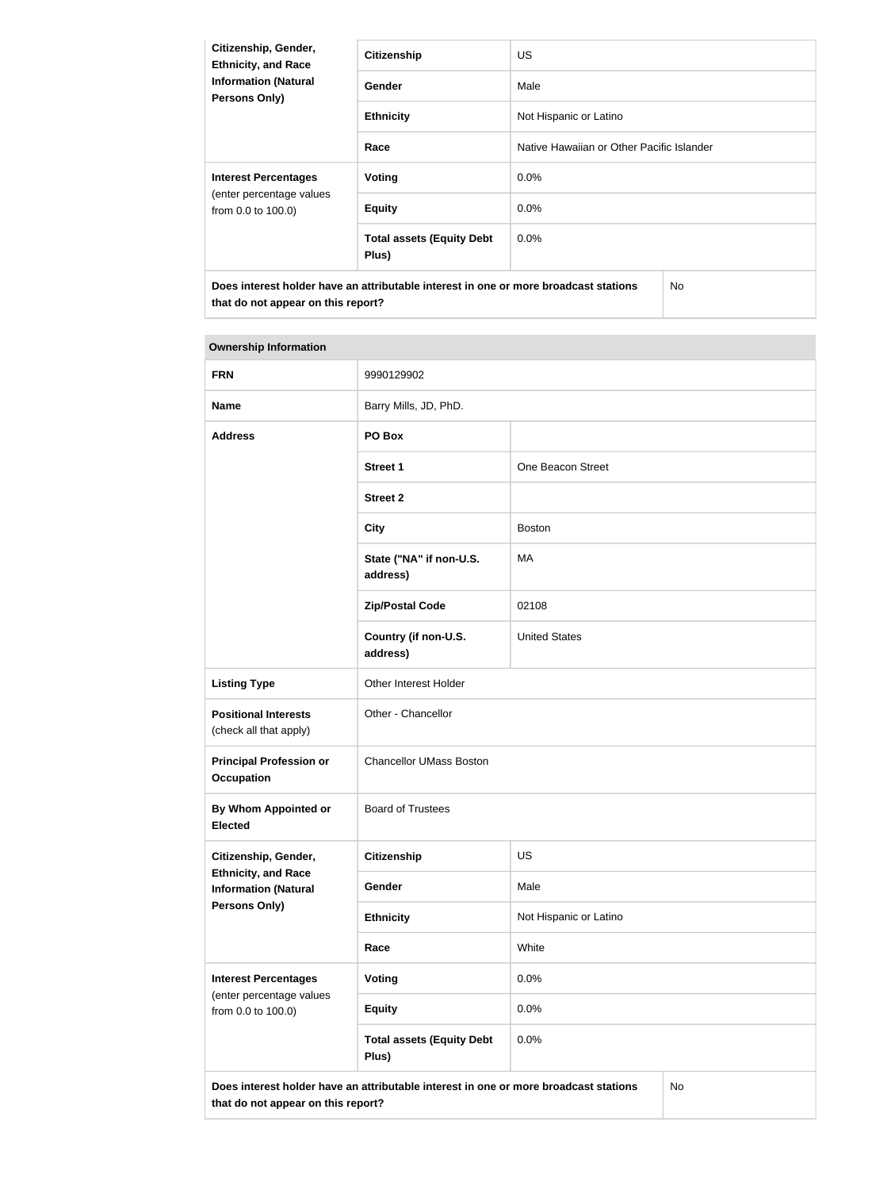| Citizenship, Gender,<br><b>Ethnicity, and Race</b><br><b>Information (Natural</b><br><b>Persons Only)</b> | <b>Citizenship</b>                                                                   | US.                                       |
|-----------------------------------------------------------------------------------------------------------|--------------------------------------------------------------------------------------|-------------------------------------------|
|                                                                                                           | Gender                                                                               | Male                                      |
|                                                                                                           | <b>Ethnicity</b>                                                                     | Not Hispanic or Latino                    |
|                                                                                                           | Race                                                                                 | Native Hawaiian or Other Pacific Islander |
| <b>Interest Percentages</b><br>(enter percentage values<br>from 0.0 to 100.0)                             | Voting                                                                               | $0.0\%$                                   |
|                                                                                                           | <b>Equity</b>                                                                        | 0.0%                                      |
|                                                                                                           | <b>Total assets (Equity Debt</b><br>Plus)                                            | $0.0\%$                                   |
| that do not appear on this report?                                                                        | Does interest holder have an attributable interest in one or more broadcast stations | No.                                       |

| <b>FRN</b>                                                                                                                       | 9990129902                                |                        |  |
|----------------------------------------------------------------------------------------------------------------------------------|-------------------------------------------|------------------------|--|
| <b>Name</b>                                                                                                                      | Barry Mills, JD, PhD.                     |                        |  |
| <b>Address</b>                                                                                                                   | PO Box                                    |                        |  |
|                                                                                                                                  | <b>Street 1</b>                           | One Beacon Street      |  |
|                                                                                                                                  | <b>Street 2</b>                           |                        |  |
|                                                                                                                                  | <b>City</b>                               | <b>Boston</b>          |  |
|                                                                                                                                  | State ("NA" if non-U.S.<br>address)       | <b>MA</b>              |  |
|                                                                                                                                  | <b>Zip/Postal Code</b>                    | 02108                  |  |
|                                                                                                                                  | Country (if non-U.S.<br>address)          | <b>United States</b>   |  |
| <b>Listing Type</b>                                                                                                              | Other Interest Holder                     |                        |  |
| <b>Positional Interests</b><br>(check all that apply)                                                                            | Other - Chancellor                        |                        |  |
| <b>Principal Profession or</b><br><b>Occupation</b>                                                                              | <b>Chancellor UMass Boston</b>            |                        |  |
| By Whom Appointed or<br><b>Elected</b>                                                                                           | <b>Board of Trustees</b>                  |                        |  |
| Citizenship, Gender,                                                                                                             | <b>Citizenship</b>                        | <b>US</b>              |  |
| <b>Ethnicity, and Race</b><br><b>Information (Natural</b>                                                                        | Gender                                    | Male                   |  |
| <b>Persons Only)</b>                                                                                                             | <b>Ethnicity</b>                          | Not Hispanic or Latino |  |
|                                                                                                                                  | Race                                      | White                  |  |
| <b>Interest Percentages</b>                                                                                                      | <b>Voting</b>                             | 0.0%                   |  |
| (enter percentage values<br>from 0.0 to 100.0)                                                                                   | <b>Equity</b>                             | 0.0%                   |  |
|                                                                                                                                  | <b>Total assets (Equity Debt</b><br>Plus) | 0.0%                   |  |
| Does interest holder have an attributable interest in one or more broadcast stations<br>No<br>that do not appear on this report? |                                           |                        |  |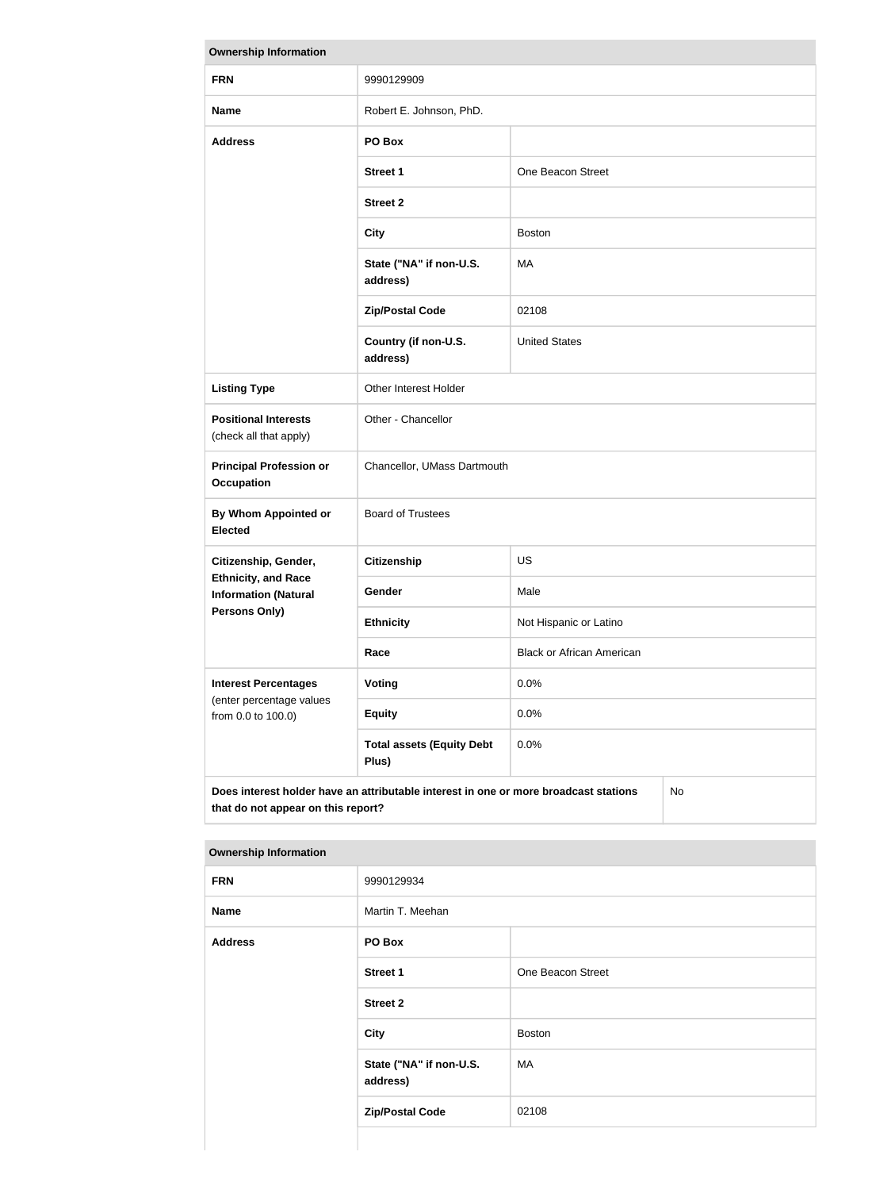| <b>Ownership Information</b>                                                                                                     |                                           |                                  |  |
|----------------------------------------------------------------------------------------------------------------------------------|-------------------------------------------|----------------------------------|--|
| <b>FRN</b>                                                                                                                       | 9990129909                                |                                  |  |
| <b>Name</b>                                                                                                                      | Robert E. Johnson, PhD.                   |                                  |  |
| <b>Address</b>                                                                                                                   | PO Box                                    |                                  |  |
|                                                                                                                                  | <b>Street 1</b>                           | One Beacon Street                |  |
|                                                                                                                                  | <b>Street 2</b>                           |                                  |  |
|                                                                                                                                  | <b>City</b>                               | <b>Boston</b>                    |  |
|                                                                                                                                  | State ("NA" if non-U.S.<br>address)       | MA                               |  |
|                                                                                                                                  | <b>Zip/Postal Code</b>                    | 02108                            |  |
|                                                                                                                                  | Country (if non-U.S.<br>address)          | <b>United States</b>             |  |
| <b>Listing Type</b>                                                                                                              | Other Interest Holder                     |                                  |  |
| <b>Positional Interests</b><br>(check all that apply)                                                                            | Other - Chancellor                        |                                  |  |
| <b>Principal Profession or</b><br><b>Occupation</b>                                                                              | Chancellor, UMass Dartmouth               |                                  |  |
| <b>By Whom Appointed or</b><br><b>Elected</b>                                                                                    | <b>Board of Trustees</b>                  |                                  |  |
| Citizenship, Gender,                                                                                                             | <b>Citizenship</b>                        | <b>US</b>                        |  |
| <b>Ethnicity, and Race</b><br><b>Information (Natural</b>                                                                        | <b>Gender</b>                             | Male                             |  |
| Persons Only)                                                                                                                    | <b>Ethnicity</b>                          | Not Hispanic or Latino           |  |
|                                                                                                                                  | Race                                      | <b>Black or African American</b> |  |
| <b>Interest Percentages</b><br>(enter percentage values<br>from 0.0 to 100.0)                                                    | Voting                                    | 0.0%                             |  |
|                                                                                                                                  | <b>Equity</b>                             | 0.0%                             |  |
|                                                                                                                                  | <b>Total assets (Equity Debt</b><br>Plus) | 0.0%                             |  |
| Does interest holder have an attributable interest in one or more broadcast stations<br>No<br>that do not appear on this report? |                                           |                                  |  |

| <b>FRN</b>     | 9990129934                          |                   |  |
|----------------|-------------------------------------|-------------------|--|
| <b>Name</b>    | Martin T. Meehan                    |                   |  |
| <b>Address</b> | PO Box                              |                   |  |
|                | <b>Street 1</b>                     | One Beacon Street |  |
|                | <b>Street 2</b>                     |                   |  |
|                | <b>City</b>                         | Boston            |  |
|                | State ("NA" if non-U.S.<br>address) | MA                |  |
|                | <b>Zip/Postal Code</b>              | 02108             |  |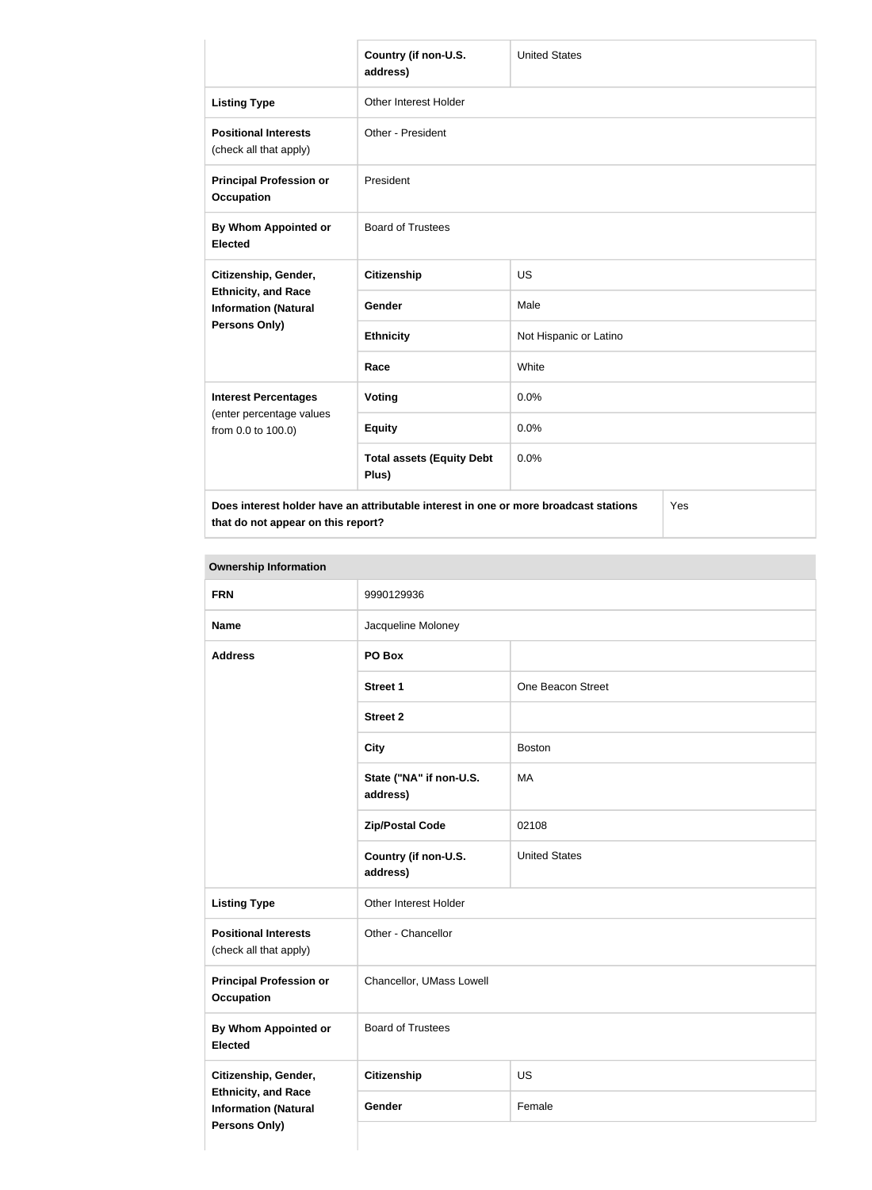|                                                                                             | Country (if non-U.S.<br>address)          | <b>United States</b>   |  |
|---------------------------------------------------------------------------------------------|-------------------------------------------|------------------------|--|
| <b>Listing Type</b>                                                                         | Other Interest Holder                     |                        |  |
| <b>Positional Interests</b><br>(check all that apply)                                       | Other - President                         |                        |  |
| <b>Principal Profession or</b><br><b>Occupation</b>                                         | President                                 |                        |  |
| By Whom Appointed or<br><b>Elected</b>                                                      | <b>Board of Trustees</b>                  |                        |  |
| Citizenship, Gender,                                                                        | <b>Citizenship</b>                        | <b>US</b>              |  |
| <b>Ethnicity, and Race</b><br><b>Information (Natural</b><br>Persons Only)                  | Gender                                    | Male                   |  |
|                                                                                             | <b>Ethnicity</b>                          | Not Hispanic or Latino |  |
|                                                                                             | Race                                      | White                  |  |
| <b>Interest Percentages</b>                                                                 | Voting                                    | 0.0%                   |  |
| (enter percentage values<br>from 0.0 to 100.0)                                              | <b>Equity</b>                             | 0.0%                   |  |
|                                                                                             | <b>Total assets (Equity Debt</b><br>Plus) | 0.0%                   |  |
| Does interest holder have an attributable interest in one or more broadcast stations<br>Yes |                                           |                        |  |

**that do not appear on this report?**

Yes

| <b>Ownership Information</b>                              |                                     |                      |
|-----------------------------------------------------------|-------------------------------------|----------------------|
| <b>FRN</b>                                                | 9990129936                          |                      |
| <b>Name</b>                                               | Jacqueline Moloney                  |                      |
| <b>Address</b>                                            | PO Box                              |                      |
|                                                           | <b>Street 1</b>                     | One Beacon Street    |
|                                                           | <b>Street 2</b>                     |                      |
|                                                           | <b>City</b>                         | <b>Boston</b>        |
|                                                           | State ("NA" if non-U.S.<br>address) | MA                   |
|                                                           | <b>Zip/Postal Code</b>              | 02108                |
|                                                           | Country (if non-U.S.<br>address)    | <b>United States</b> |
| <b>Listing Type</b>                                       | Other Interest Holder               |                      |
| <b>Positional Interests</b><br>(check all that apply)     | Other - Chancellor                  |                      |
| <b>Principal Profession or</b><br><b>Occupation</b>       | Chancellor, UMass Lowell            |                      |
| By Whom Appointed or<br><b>Elected</b>                    | <b>Board of Trustees</b>            |                      |
| Citizenship, Gender,                                      | <b>Citizenship</b>                  | <b>US</b>            |
| <b>Ethnicity, and Race</b><br><b>Information (Natural</b> | Gender                              | Female               |
| <b>Persons Only)</b>                                      |                                     |                      |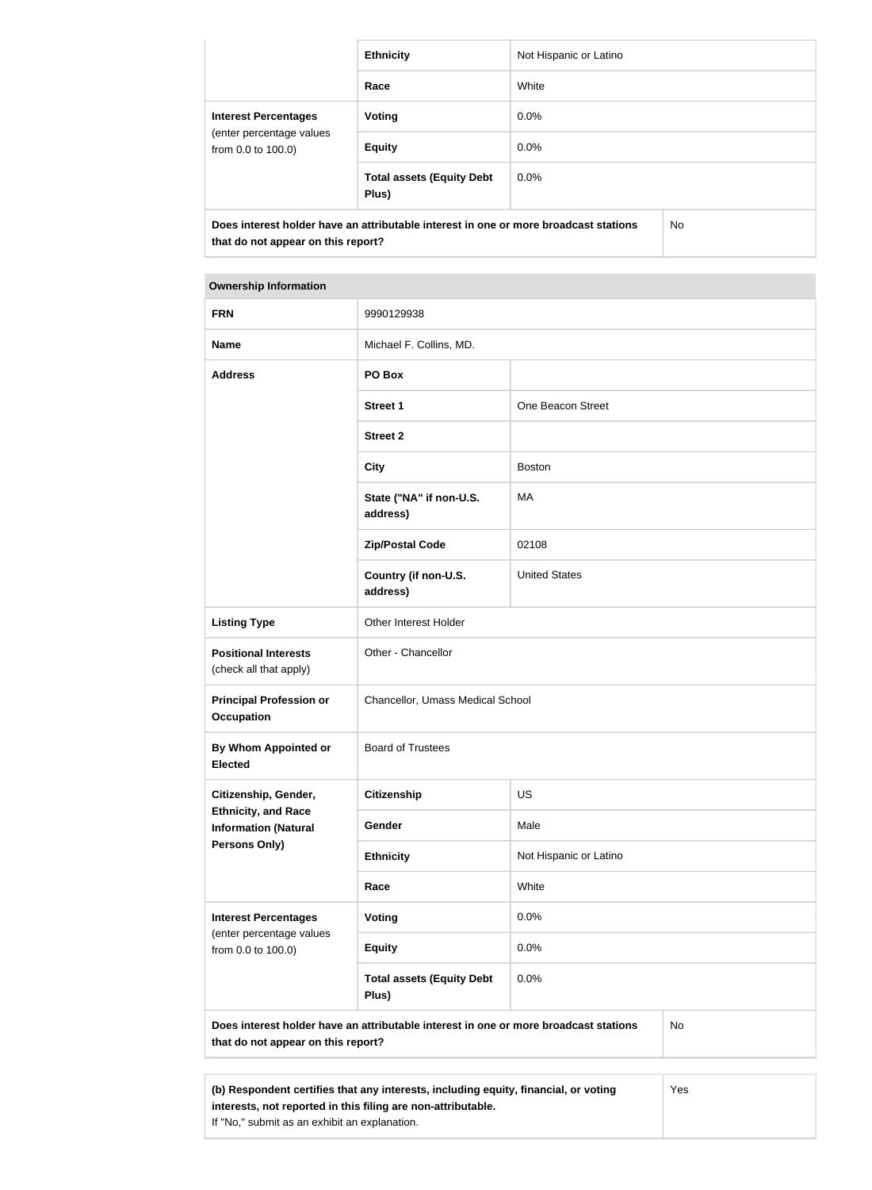|                                                                                                                            | <b>Ethnicity</b>                          | Not Hispanic or Latino |  |
|----------------------------------------------------------------------------------------------------------------------------|-------------------------------------------|------------------------|--|
|                                                                                                                            | Race                                      | White                  |  |
| <b>Interest Percentages</b><br>(enter percentage values<br>from 0.0 to 100.0)                                              | Voting                                    | $0.0\%$                |  |
|                                                                                                                            | <b>Equity</b>                             | $0.0\%$                |  |
|                                                                                                                            | <b>Total assets (Equity Debt</b><br>Plus) | $0.0\%$                |  |
| Does interest holder have an attributable interest in one or more broadcast stations<br>that do not appear on this report? |                                           | No.                    |  |

| <b>FRN</b>                                                                                 | 9990129938                                                                           |                        |           |
|--------------------------------------------------------------------------------------------|--------------------------------------------------------------------------------------|------------------------|-----------|
| <b>Name</b>                                                                                | Michael F. Collins, MD.                                                              |                        |           |
| <b>Address</b>                                                                             | PO Box                                                                               |                        |           |
|                                                                                            | <b>Street 1</b>                                                                      | One Beacon Street      |           |
|                                                                                            | <b>Street 2</b>                                                                      |                        |           |
|                                                                                            | <b>City</b>                                                                          | <b>Boston</b>          |           |
|                                                                                            | State ("NA" if non-U.S.<br>address)                                                  | MA                     |           |
|                                                                                            | <b>Zip/Postal Code</b>                                                               | 02108                  |           |
|                                                                                            | Country (if non-U.S.<br>address)                                                     | <b>United States</b>   |           |
| <b>Listing Type</b>                                                                        | Other Interest Holder                                                                |                        |           |
| <b>Positional Interests</b><br>(check all that apply)                                      | Other - Chancellor                                                                   |                        |           |
| <b>Principal Profession or</b><br>Occupation                                               | Chancellor, Umass Medical School                                                     |                        |           |
| By Whom Appointed or<br><b>Elected</b>                                                     | <b>Board of Trustees</b>                                                             |                        |           |
| Citizenship, Gender,<br><b>Ethnicity, and Race</b><br><b>Information (Natural</b>          | <b>Citizenship</b>                                                                   | US                     |           |
|                                                                                            | Gender                                                                               | Male                   |           |
| <b>Persons Only)</b>                                                                       | <b>Ethnicity</b>                                                                     | Not Hispanic or Latino |           |
|                                                                                            | Race                                                                                 | White                  |           |
| <b>Interest Percentages</b>                                                                | <b>Voting</b>                                                                        | 0.0%                   |           |
| (enter percentage values<br>from 0.0 to 100.0)                                             | <b>Equity</b>                                                                        | 0.0%                   |           |
|                                                                                            | <b>Total assets (Equity Debt</b><br>Plus)                                            | 0.0%                   |           |
| that do not appear on this report?                                                         | Does interest holder have an attributable interest in one or more broadcast stations |                        | <b>No</b> |
|                                                                                            |                                                                                      |                        |           |
| (b) Respondent certifies that any interests, including equity, financial, or voting<br>Yes |                                                                                      |                        |           |

**interests, not reported in this filing are non-attributable.**

If "No," submit as an exhibit an explanation.